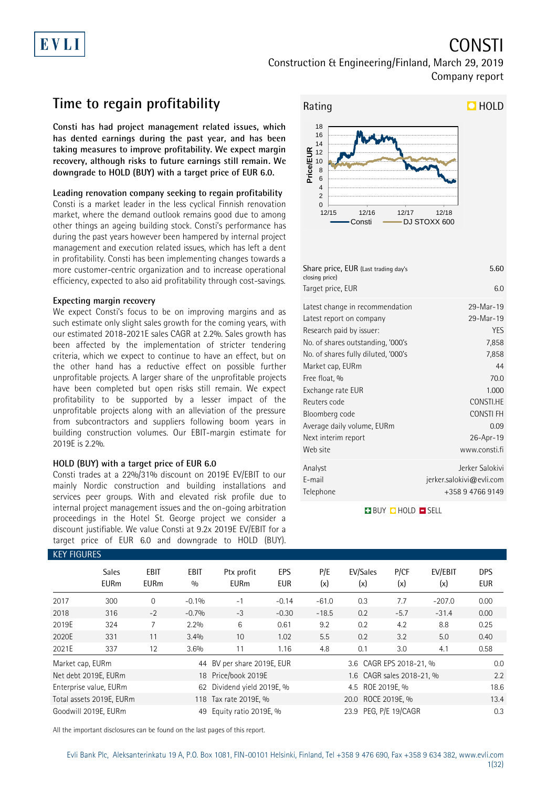# **CONSTI**

Construction & Engineering/Finland, March 29, 2019 Company report

## **Time to regain profitability**

**Consti has had project management related issues, which has dented earnings during the past year, and has been taking measures to improve profitability. We expect margin recovery, although risks to future earnings still remain. We downgrade to HOLD (BUY) with a target price of EUR 6.0.**

#### **Leading renovation company seeking to regain profitability**

Consti is a market leader in the less cyclical Finnish renovation market, where the demand outlook remains good due to among other things an ageing building stock. Consti's performance has during the past years however been hampered by internal project management and execution related issues, which has left a dent in profitability. Consti has been implementing changes towards a more customer-centric organization and to increase operational efficiency, expected to also aid profitability through cost-savings.

#### **Expecting margin recovery**

We expect Consti's focus to be on improving margins and as such estimate only slight sales growth for the coming years, with our estimated 2018-2021E sales CAGR at 2.2%. Sales growth has been affected by the implementation of stricter tendering criteria, which we expect to continue to have an effect, but on the other hand has a reductive effect on possible further unprofitable projects. A larger share of the unprofitable projects have been completed but open risks still remain. We expect profitability to be supported by a lesser impact of the unprofitable projects along with an alleviation of the pressure from subcontractors and suppliers following boom years in building construction volumes. Our EBIT-margin estimate for 2019E is 2.2%.

#### **HOLD (BUY) with a target price of EUR 6.0**

Consti trades at a 22%/31% discount on 2019E EV/EBIT to our mainly Nordic construction and building installations and services peer groups. With and elevated risk profile due to internal project management issues and the on-going arbitration proceedings in the Hotel St. George project we consider a discount justifiable. We value Consti at 9.2x 2019E EV/EBIT for a target price of EUR 6.0 and downgrade to HOLD (BUY).



| Share price, EUR (Last trading day's<br>closing price)      | 5.60                        |
|-------------------------------------------------------------|-----------------------------|
| Target price, EUR                                           | 6.0                         |
| Latest change in recommendation<br>Latest report on company | 29-Mar-19<br>29-Mar-19      |
| Research paid by issuer:                                    | <b>YES</b>                  |
| No. of shares outstanding, '000's                           | 7,858                       |
| No. of shares fully diluted, '000's                         | 7,858                       |
| Market cap, EURm                                            | 44                          |
| Free float, %                                               | 70.0                        |
| Exchange rate EUR                                           | 1.000                       |
| Reuters code                                                | CONSTI.HE                   |
| Bloomberg code                                              | <b>CONSTIFH</b>             |
| Average daily volume, EURm                                  | 0.09                        |
| Next interim report                                         | 26-Apr-19                   |
| Web site                                                    | www.consti.fi               |
| Analyst                                                     | Jerker Salokivi             |
| E-mail                                                      | $j$ erker.salokivi@evli.com |
| Telephone                                                   | +358 9 4766 9149            |

#### **BUY QHOLD SELL**

| <b>KEY FIGURES</b> |                                                   |                            |                    |                            |                   |            |                           |             |                |                          |  |
|--------------------|---------------------------------------------------|----------------------------|--------------------|----------------------------|-------------------|------------|---------------------------|-------------|----------------|--------------------------|--|
|                    | <b>Sales</b><br><b>EURm</b>                       | <b>EBIT</b><br><b>EURm</b> | <b>EBIT</b><br>0/0 | Ptx profit<br><b>EURm</b>  | <b>EPS</b><br>EUR | P/E<br>(x) | EV/Sales<br>(x)           | P/CF<br>(x) | EV/EBIT<br>(x) | <b>DPS</b><br><b>EUR</b> |  |
| 2017               | 300                                               | $\Omega$                   | $-0.1%$            | $-1$                       | $-0.14$           | $-61.0$    | 0.3                       | 7.7         | $-207.0$       | 0.00                     |  |
| 2018               | 316                                               | $-2$                       | $-0.7%$            | $-3$                       | $-0.30$           | $-18.5$    | 0.2                       | $-5.7$      | $-31.4$        | 0.00                     |  |
| 2019E              | 324                                               | 7                          | 2.2%               | 6                          | 0.61              | 9.2        | 0.2                       | 4.2         | 8.8            | 0.25                     |  |
| 2020E              | 331                                               | 11                         | 3.4%               | 10                         | 1.02              | 5.5        | 0.2                       | 3.2         | 5.0            | 0.40                     |  |
| 2021E              | 337                                               | 12                         | 3.6%               | 11                         | 1.16              | 4.8        | 0.1                       | 3.0         | 4.1            | 0.58                     |  |
| Market cap, EURm   |                                                   |                            |                    | 44 BV per share 2019E, EUR |                   |            | 3.6 CAGR EPS 2018-21, %   |             |                | 0.0                      |  |
|                    | Net debt 2019E, EURm                              |                            |                    | 18 Price/book 2019E        |                   |            | 1.6 CAGR sales 2018-21, % |             |                | 2.2                      |  |
|                    | Enterprise value, EURm                            |                            | 62                 | Dividend yield 2019E, %    |                   |            |                           | 18.6        |                |                          |  |
|                    | Total assets 2019E, EURm<br>118 Tax rate 2019E, % |                            |                    |                            |                   |            | 20.0 ROCE 2019E, %        |             |                |                          |  |
|                    | Goodwill 2019E, EURm                              |                            | 49                 | Equity ratio 2019E, %      |                   |            | 23.9 PEG, P/E 19/CAGR     | 0.3         |                |                          |  |

All the important disclosures can be found on the last pages of this report.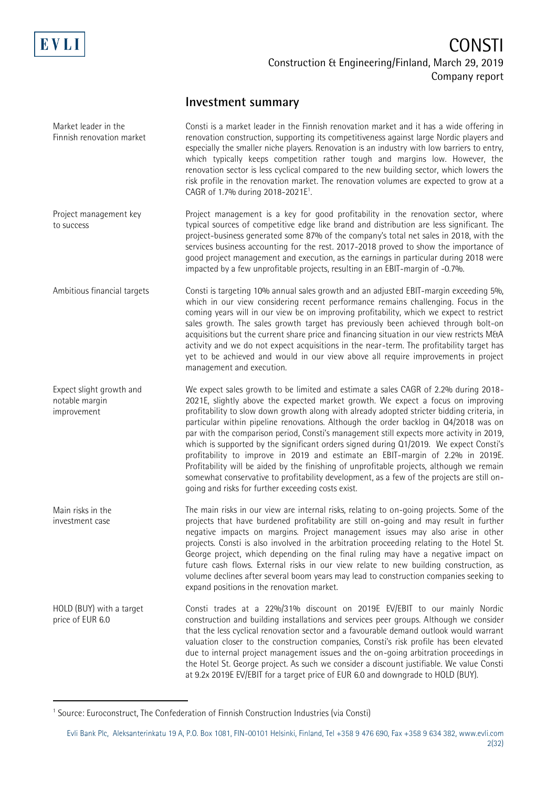

-

## **CONSTI** Construction & Engineering/Finland, March 29, 2019 Company report

## **Investment summary**

| Market leader in the<br>Finnish renovation market         | Consti is a market leader in the Finnish renovation market and it has a wide offering in<br>renovation construction, supporting its competitiveness against large Nordic players and<br>especially the smaller niche players. Renovation is an industry with low barriers to entry,<br>which typically keeps competition rather tough and margins low. However, the<br>renovation sector is less cyclical compared to the new building sector, which lowers the<br>risk profile in the renovation market. The renovation volumes are expected to grow at a<br>CAGR of 1.7% during 2018-2021E <sup>1</sup> .                                                                                                                                                                                                                                                                            |
|-----------------------------------------------------------|----------------------------------------------------------------------------------------------------------------------------------------------------------------------------------------------------------------------------------------------------------------------------------------------------------------------------------------------------------------------------------------------------------------------------------------------------------------------------------------------------------------------------------------------------------------------------------------------------------------------------------------------------------------------------------------------------------------------------------------------------------------------------------------------------------------------------------------------------------------------------------------|
| Project management key<br>to success                      | Project management is a key for good profitability in the renovation sector, where<br>typical sources of competitive edge like brand and distribution are less significant. The<br>project-business generated some 87% of the company's total net sales in 2018, with the<br>services business accounting for the rest. 2017-2018 proved to show the importance of<br>good project management and execution, as the earnings in particular during 2018 were<br>impacted by a few unprofitable projects, resulting in an EBIT-margin of -0.7%.                                                                                                                                                                                                                                                                                                                                          |
| Ambitious financial targets                               | Consti is targeting 10% annual sales growth and an adjusted EBIT-margin exceeding 5%,<br>which in our view considering recent performance remains challenging. Focus in the<br>coming years will in our view be on improving profitability, which we expect to restrict<br>sales growth. The sales growth target has previously been achieved through bolt-on<br>acquisitions but the current share price and financing situation in our view restricts M&A<br>activity and we do not expect acquisitions in the near-term. The profitability target has<br>yet to be achieved and would in our view above all require improvements in project<br>management and execution.                                                                                                                                                                                                            |
| Expect slight growth and<br>notable margin<br>improvement | We expect sales growth to be limited and estimate a sales CAGR of 2.2% during 2018-<br>2021E, slightly above the expected market growth. We expect a focus on improving<br>profitability to slow down growth along with already adopted stricter bidding criteria, in<br>particular within pipeline renovations. Although the order backlog in 04/2018 was on<br>par with the comparison period, Consti's management still expects more activity in 2019,<br>which is supported by the significant orders signed during 01/2019. We expect Consti's<br>profitability to improve in 2019 and estimate an EBIT-margin of 2.2% in 2019E.<br>Profitability will be aided by the finishing of unprofitable projects, although we remain<br>somewhat conservative to profitability development, as a few of the projects are still on-<br>going and risks for further exceeding costs exist. |
| Main risks in the<br>investment case                      | The main risks in our view are internal risks, relating to on-going projects. Some of the<br>projects that have burdened profitability are still on-going and may result in further<br>negative impacts on margins. Project management issues may also arise in other<br>projects. Consti is also involved in the arbitration proceeding relating to the Hotel St.<br>George project, which depending on the final ruling may have a negative impact on<br>future cash flows. External risks in our view relate to new building construction, as<br>volume declines after several boom years may lead to construction companies seeking to<br>expand positions in the renovation market.                                                                                                                                                                                               |
| HOLD (BUY) with a target<br>price of EUR 6.0              | Consti trades at a 22%/31% discount on 2019E EV/EBIT to our mainly Nordic<br>construction and building installations and services peer groups. Although we consider<br>that the less cyclical renovation sector and a favourable demand outlook would warrant<br>valuation closer to the construction companies, Consti's risk profile has been elevated<br>due to internal project management issues and the on-going arbitration proceedings in<br>the Hotel St. George project. As such we consider a discount justifiable. We value Consti<br>at 9.2x 2019E EV/EBIT for a target price of EUR 6.0 and downgrade to HOLD (BUY).                                                                                                                                                                                                                                                     |

<sup>&</sup>lt;sup>1</sup> Source: Euroconstruct, The Confederation of Finnish Construction Industries (via Consti)

Evli Bank Plc, Aleksanterinkatu 19 A, P.O. Box 1081, FIN-00101 Helsinki, Finland, Tel +358 9 476 690, Fax +358 9 634 382, [www.evli.com](http://www.evli.com/) 2(32)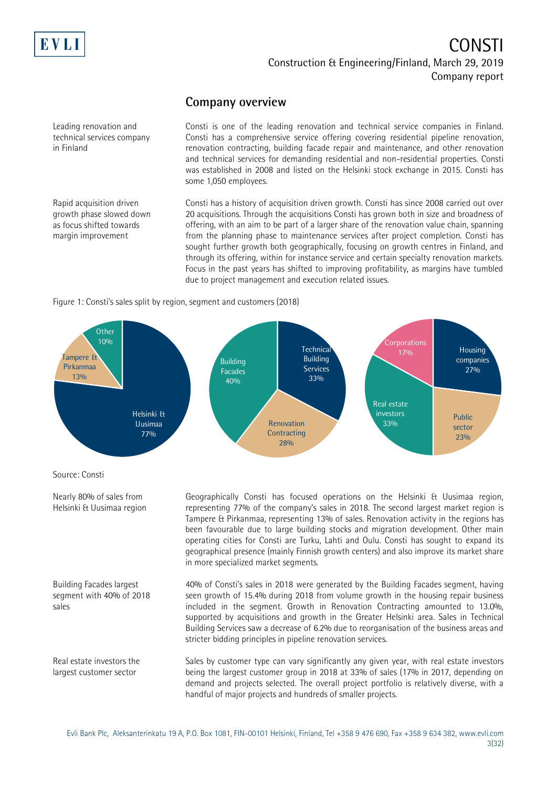

#### **Company overview**

Leading renovation and technical services company in Finland

Rapid acquisition driven growth phase slowed down as focus shifted towards margin improvement

Consti is one of the leading renovation and technical service companies in Finland. Consti has a comprehensive service offering covering residential pipeline renovation, renovation contracting, building facade repair and maintenance, and other renovation and technical services for demanding residential and non-residential properties. Consti was established in 2008 and listed on the Helsinki stock exchange in 2015. Consti has some 1,050 employees.

Consti has a history of acquisition driven growth. Consti has since 2008 carried out over 20 acquisitions. Through the acquisitions Consti has grown both in size and broadness of offering, with an aim to be part of a larger share of the renovation value chain, spanning from the planning phase to maintenance services after project completion. Consti has sought further growth both geographically, focusing on growth centres in Finland, and through its offering, within for instance service and certain specialty renovation markets. Focus in the past years has shifted to improving profitability, as margins have tumbled due to project management and execution related issues.

#### Figure 1: Consti's sales split by region, segment and customers (2018)



Source: Consti

Nearly 80% of sales from Helsinki & Uusimaa region

Building Facades largest segment with 40% of 2018 sales

Real estate investors the largest customer sector

Geographically Consti has focused operations on the Helsinki & Uusimaa region, representing 77% of the company's sales in 2018. The second largest market region is Tampere & Pirkanmaa, representing 13% of sales. Renovation activity in the regions has been favourable due to large building stocks and migration development. Other main operating cities for Consti are Turku, Lahti and Oulu. Consti has sought to expand its geographical presence (mainly Finnish growth centers) and also improve its market share in more specialized market segments.

40% of Consti's sales in 2018 were generated by the Building Facades segment, having seen growth of 15.4% during 2018 from volume growth in the housing repair business included in the segment. Growth in Renovation Contracting amounted to 13.0%, supported by acquisitions and growth in the Greater Helsinki area. Sales in Technical Building Services saw a decrease of 6.2% due to reorganisation of the business areas and stricter bidding principles in pipeline renovation services.

Sales by customer type can vary significantly any given year, with real estate investors being the largest customer group in 2018 at 33% of sales (17% in 2017, depending on demand and projects selected. The overall project portfolio is relatively diverse, with a handful of major projects and hundreds of smaller projects.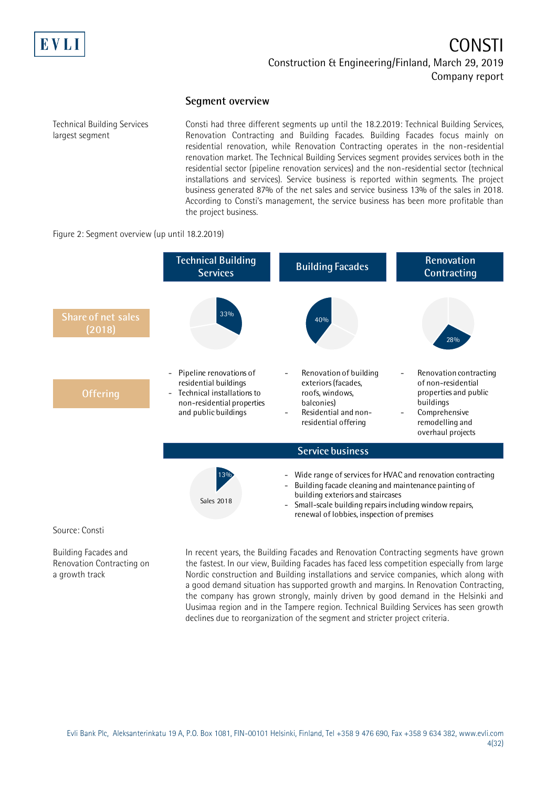

#### **Segment overview**

Technical Building Services largest segment

Consti had three different segments up until the 18.2.2019: Technical Building Services, Renovation Contracting and Building Facades. Building Facades focus mainly on residential renovation, while Renovation Contracting operates in the non-residential renovation market. The Technical Building Services segment provides services both in the residential sector (pipeline renovation services) and the non-residential sector (technical installations and services). Service business is reported within segments. The project business generated 87% of the net sales and service business 13% of the sales in 2018. According to Consti's management, the service business has been more profitable than the project business.

#### Figure 2: Segment overview (up until 18.2.2019)



Building Facades and Renovation Contracting on a growth track

In recent years, the Building Facades and Renovation Contracting segments have grown the fastest. In our view, Building Facades has faced less competition especially from large Nordic construction and Building installations and service companies, which along with a good demand situation has supported growth and margins. In Renovation Contracting, the company has grown strongly, mainly driven by good demand in the Helsinki and Uusimaa region and in the Tampere region. Technical Building Services has seen growth declines due to reorganization of the segment and stricter project criteria.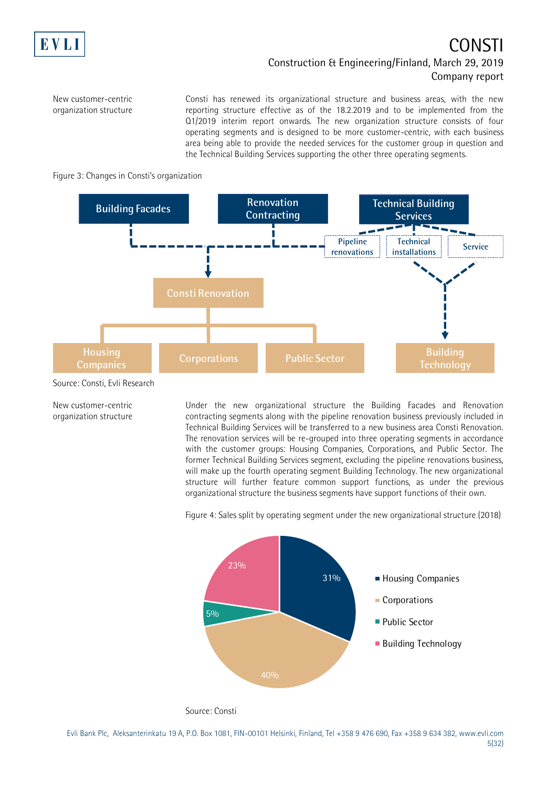

New customer-centric organization structure

Consti has renewed its organizational structure and business areas, with the new reporting structure effective as of the 18.2.2019 and to be implemented from the Q1/2019 interim report onwards. The new organization structure consists of four operating segments and is designed to be more customer-centric, with each business area being able to provide the needed services for the customer group in question and the Technical Building Services supporting the other three operating segments.





Source: Consti, Evli Research

New customer-centric organization structure Under the new organizational structure the Building Facades and Renovation contracting segments along with the pipeline renovation business previously included in Technical Building Services will be transferred to a new business area Consti Renovation. The renovation services will be re-grouped into three operating segments in accordance with the customer groups: Housing Companies, Corporations, and Public Sector. The former Technical Building Services segment, excluding the pipeline renovations business, will make up the fourth operating segment Building Technology. The new organizational structure will further feature common support functions, as under the previous organizational structure the business segments have support functions of their own.



Figure 4: Sales split by operating segment under the new organizational structure (2018)

Source: Consti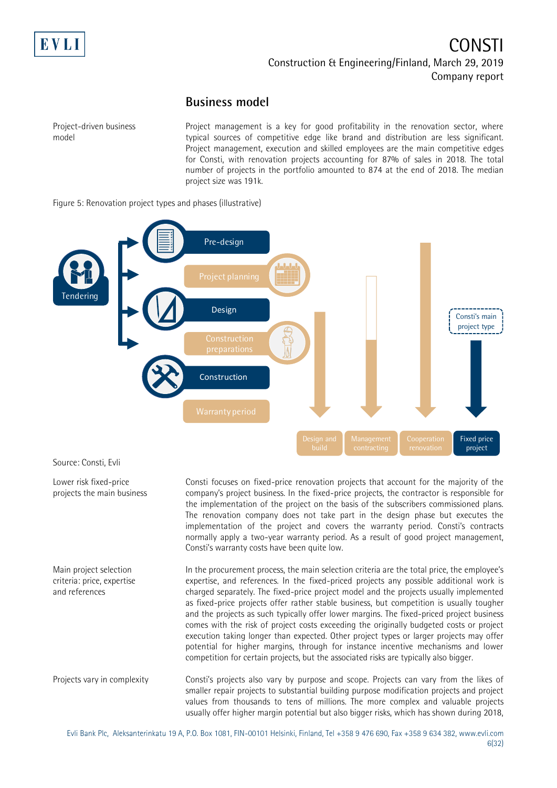

#### **Business model**

Project-driven business model

Lower risk fixed-price projects the main business

Project management is a key for good profitability in the renovation sector, where typical sources of competitive edge like brand and distribution are less significant. Project management, execution and skilled employees are the main competitive edges for Consti, with renovation projects accounting for 87% of sales in 2018. The total number of projects in the portfolio amounted to 874 at the end of 2018. The median project size was 191k.

Figure 5: Renovation project types and phases (illustrative)



Consti focuses on fixed-price renovation projects that account for the majority of the company's project business. In the fixed-price projects, the contractor is responsible for the implementation of the project on the basis of the subscribers commissioned plans. The renovation company does not take part in the design phase but executes the implementation of the project and covers the warranty period. Consti's contracts normally apply a two-year warranty period. As a result of good project management, Consti's warranty costs have been quite low.

In the procurement process, the main selection criteria are the total price, the employee's expertise, and references. In the fixed-priced projects any possible additional work is charged separately. The fixed-price project model and the projects usually implemented as fixed-price projects offer rather stable business, but competition is usually tougher and the projects as such typically offer lower margins. The fixed-priced project business comes with the risk of project costs exceeding the originally budgeted costs or project execution taking longer than expected. Other project types or larger projects may offer potential for higher margins, through for instance incentive mechanisms and lower competition for certain projects, but the associated risks are typically also bigger. Main project selection criteria: price, expertise and references

Consti's projects also vary by purpose and scope. Projects can vary from the likes of smaller repair projects to substantial building purpose modification projects and project values from thousands to tens of millions. The more complex and valuable projects usually offer higher margin potential but also bigger risks, which has shown during 2018, Projects vary in complexity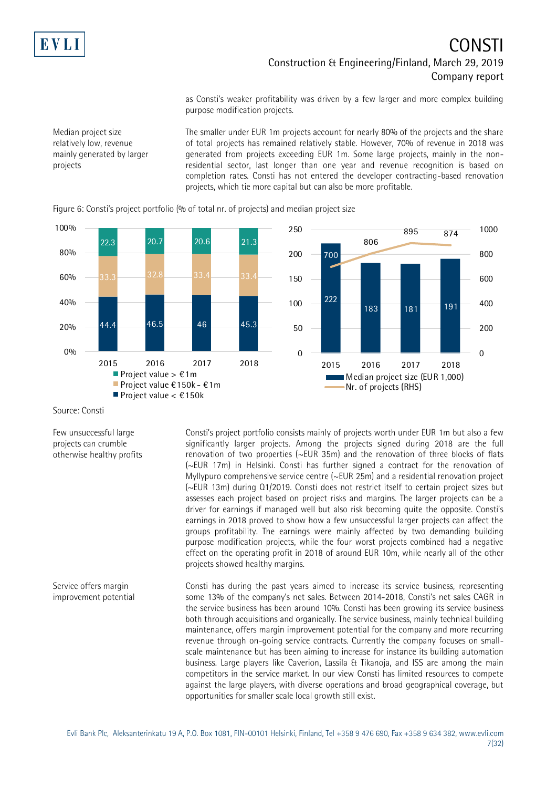

Median project size relatively low, revenue mainly generated by larger

projects

### CONSTI Construction & Engineering/Finland, March 29, 2019 Company report

as Consti's weaker profitability was driven by a few larger and more complex building purpose modification projects.

The smaller under EUR 1m projects account for nearly 80% of the projects and the share of total projects has remained relatively stable. However, 70% of revenue in 2018 was generated from projects exceeding EUR 1m. Some large projects, mainly in the nonresidential sector, last longer than one year and revenue recognition is based on completion rates. Consti has not entered the developer contracting-based renovation projects, which tie more capital but can also be more profitable.



Figure 6: Consti's project portfolio (% of total nr. of projects) and median project size

Source: Consti

Few unsuccessful large projects can crumble otherwise healthy profits Consti's project portfolio consists mainly of projects worth under EUR 1m but also a few significantly larger projects. Among the projects signed during 2018 are the full renovation of two properties (~EUR 35m) and the renovation of three blocks of flats (~EUR 17m) in Helsinki. Consti has further signed a contract for the renovation of Myllypuro comprehensive service centre (~EUR 25m) and a residential renovation project (~EUR 13m) during Q1/2019. Consti does not restrict itself to certain project sizes but assesses each project based on project risks and margins. The larger projects can be a driver for earnings if managed well but also risk becoming quite the opposite. Consti's earnings in 2018 proved to show how a few unsuccessful larger projects can affect the groups profitability. The earnings were mainly affected by two demanding building purpose modification projects, while the four worst projects combined had a negative effect on the operating profit in 2018 of around EUR 10m, while nearly all of the other projects showed healthy margins.

Consti has during the past years aimed to increase its service business, representing some 13% of the company's net sales. Between 2014-2018, Consti's net sales CAGR in the service business has been around 10%. Consti has been growing its service business both through acquisitions and organically. The service business, mainly technical building maintenance, offers margin improvement potential for the company and more recurring revenue through on-going service contracts. Currently the company focuses on smallscale maintenance but has been aiming to increase for instance its building automation business. Large players like Caverion, Lassila & Tikanoja, and ISS are among the main competitors in the service market. In our view Consti has limited resources to compete against the large players, with diverse operations and broad geographical coverage, but opportunities for smaller scale local growth still exist. Service offers margin improvement potential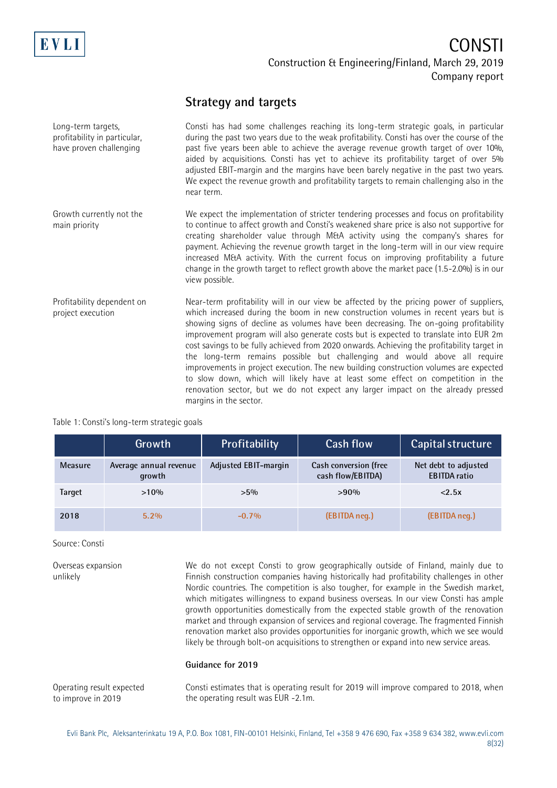

#### **Strategy and targets**

| Long-term targets,<br>profitability in particular,<br>have proven challenging | Consti has had some challenges reaching its long-term strategic goals, in particular<br>during the past two years due to the weak profitability. Consti has over the course of the<br>past five years been able to achieve the average revenue growth target of over 10%,<br>aided by acquisitions. Consti has yet to achieve its profitability target of over 5%<br>adjusted EBIT-margin and the margins have been barely negative in the past two years.<br>We expect the revenue growth and profitability targets to remain challenging also in the<br>near term.                                                                                                                                                                                                                                                                 |
|-------------------------------------------------------------------------------|--------------------------------------------------------------------------------------------------------------------------------------------------------------------------------------------------------------------------------------------------------------------------------------------------------------------------------------------------------------------------------------------------------------------------------------------------------------------------------------------------------------------------------------------------------------------------------------------------------------------------------------------------------------------------------------------------------------------------------------------------------------------------------------------------------------------------------------|
| Growth currently not the<br>main priority                                     | We expect the implementation of stricter tendering processes and focus on profitability<br>to continue to affect growth and Consti's weakened share price is also not supportive for<br>creating shareholder value through M&A activity using the company's shares for<br>payment. Achieving the revenue growth target in the long-term will in our view require<br>increased M&A activity. With the current focus on improving profitability a future<br>change in the growth target to reflect growth above the market pace (1.5-2.0%) is in our<br>view possible.                                                                                                                                                                                                                                                                 |
| Profitability dependent on<br>project execution                               | Near-term profitability will in our view be affected by the pricing power of suppliers,<br>which increased during the boom in new construction volumes in recent years but is<br>showing signs of decline as volumes have been decreasing. The on-going profitability<br>improvement program will also generate costs but is expected to translate into EUR 2m<br>cost savings to be fully achieved from 2020 onwards. Achieving the profitability target in<br>the long-term remains possible but challenging and would above all require<br>improvements in project execution. The new building construction volumes are expected<br>to slow down, which will likely have at least some effect on competition in the<br>renovation sector, but we do not expect any larger impact on the already pressed<br>margins in the sector. |

#### Table 1: Consti's long-term strategic goals

|         | Growth                           | Profitability        | Cash flow                                         | Capital structure                           |
|---------|----------------------------------|----------------------|---------------------------------------------------|---------------------------------------------|
| Measure | Average annual revenue<br>growth | Adjusted EBIT-margin | <b>Cash conversion (free</b><br>cash flow/EBITDA) | Net debt to adjusted<br><b>EBITDA</b> ratio |
| Target  | $>10\%$                          | $>5\%$               | $>90\%$                                           | < 2.5x                                      |
| 2018    | $5.2\%$                          | $-0.7\%$             | (EBITDA neg.)                                     | (EBITDA neg.)                               |

#### Source: Consti

Overseas expansion unlikely

We do not except Consti to grow geographically outside of Finland, mainly due to Finnish construction companies having historically had profitability challenges in other Nordic countries. The competition is also tougher, for example in the Swedish market, which mitigates willingness to expand business overseas. In our view Consti has ample growth opportunities domestically from the expected stable growth of the renovation market and through expansion of services and regional coverage. The fragmented Finnish renovation market also provides opportunities for inorganic growth, which we see would likely be through bolt-on acquisitions to strengthen or expand into new service areas.

#### **Guidance for 2019**

Consti estimates that is operating result for 2019 will improve compared to 2018, when the operating result was EUR -2.1m. Operating result expected to improve in 2019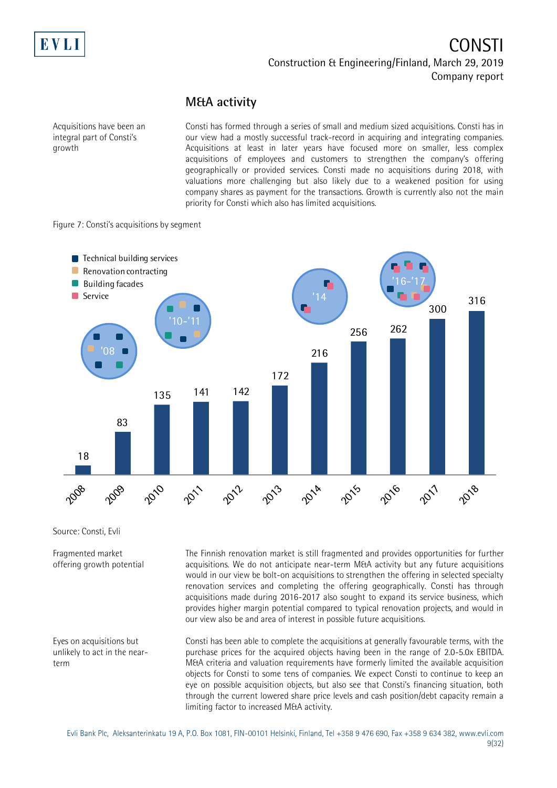

#### **M&A activity**

Acquisitions have been an integral part of Consti's growth

Consti has formed through a series of small and medium sized acquisitions. Consti has in our view had a mostly successful track-record in acquiring and integrating companies. Acquisitions at least in later years have focused more on smaller, less complex acquisitions of employees and customers to strengthen the company's offering geographically or provided services. Consti made no acquisitions during 2018, with valuations more challenging but also likely due to a weakened position for using company shares as payment for the transactions. Growth is currently also not the main priority for Consti which also has limited acquisitions.

Figure 7: Consti's acquisitions by segment



Source: Consti, Evli

Fragmented market offering growth potential

Eyes on acquisitions but unlikely to act in the nearterm

The Finnish renovation market is still fragmented and provides opportunities for further acquisitions. We do not anticipate near-term M&A activity but any future acquisitions would in our view be bolt-on acquisitions to strengthen the offering in selected specialty renovation services and completing the offering geographically. Consti has through acquisitions made during 2016-2017 also sought to expand its service business, which provides higher margin potential compared to typical renovation projects, and would in our view also be and area of interest in possible future acquisitions.

Consti has been able to complete the acquisitions at generally favourable terms, with the purchase prices for the acquired objects having been in the range of 2.0-5.0x EBITDA. M&A criteria and valuation requirements have formerly limited the available acquisition objects for Consti to some tens of companies. We expect Consti to continue to keep an eye on possible acquisition objects, but also see that Consti's financing situation, both through the current lowered share price levels and cash position/debt capacity remain a limiting factor to increased M&A activity.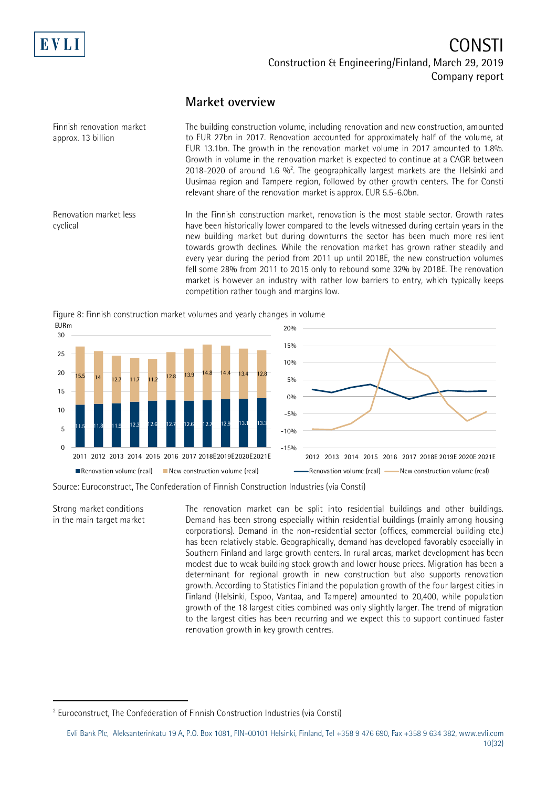

cyclical

## CONSTI Construction & Engineering/Finland, March 29, 2019 Company report

#### **Market overview**

The building construction volume, including renovation and new construction, amounted to EUR 27bn in 2017. Renovation accounted for approximately half of the volume, at EUR 13.1bn. The growth in the renovation market volume in 2017 amounted to 1.8%. Growth in volume in the renovation market is expected to continue at a CAGR between 2018-2020 of around 1.6  $\%$ <sup>2</sup>. The geographically largest markets are the Helsinki and Uusimaa region and Tampere region, followed by other growth centers. The for Consti relevant share of the renovation market is approx. EUR 5.5-6.0bn. Finnish renovation market approx. 13 billion Renovation market less

In the Finnish construction market, renovation is the most stable sector. Growth rates have been historically lower compared to the levels witnessed during certain years in the new building market but during downturns the sector has been much more resilient towards growth declines. While the renovation market has grown rather steadily and every year during the period from 2011 up until 2018E, the new construction volumes fell some 28% from 2011 to 2015 only to rebound some 32% by 2018E. The renovation market is however an industry with rather low barriers to entry, which typically keeps competition rather tough and margins low.





 $-15%$  $-10%$  $-50<sub>0</sub>$  $0%$ 5% 10% 15% 2012 2013 2014 2015 2016 2017 2018E 2019E 2020E 2021E -Renovation volume (real) - New construction volume (real)

Source: Euroconstruct, The Confederation of Finnish Construction Industries (via Consti)

Strong market conditions in the main target market

-

The renovation market can be split into residential buildings and other buildings. Demand has been strong especially within residential buildings (mainly among housing corporations). Demand in the non-residential sector (offices, commercial building etc.) has been relatively stable. Geographically, demand has developed favorably especially in Southern Finland and large growth centers. In rural areas, market development has been modest due to weak building stock growth and lower house prices. Migration has been a determinant for regional growth in new construction but also supports renovation growth. According to Statistics Finland the population growth of the four largest cities in Finland (Helsinki, Espoo, Vantaa, and Tampere) amounted to 20,400, while population growth of the 18 largest cities combined was only slightly larger. The trend of migration to the largest cities has been recurring and we expect this to support continued faster renovation growth in key growth centres.

<sup>&</sup>lt;sup>2</sup> Euroconstruct, The Confederation of Finnish Construction Industries (via Consti)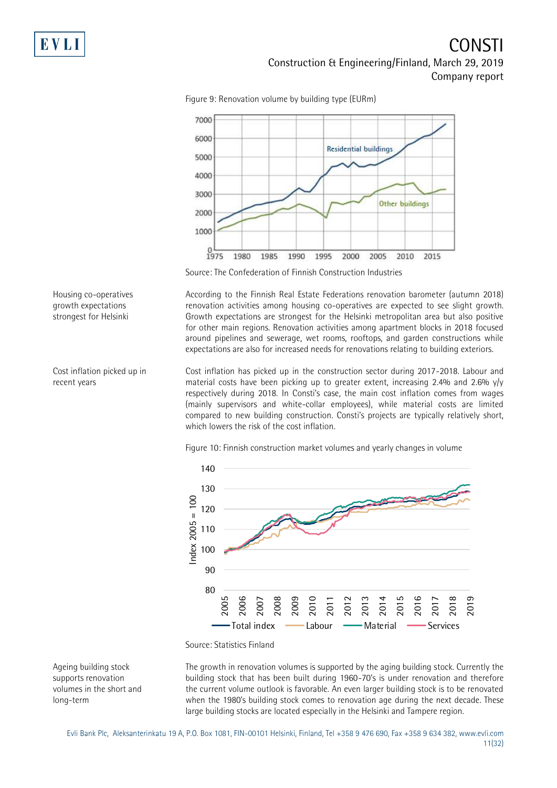

Figure 9: Renovation volume by building type (EURm)

Source: The Confederation of Finnish Construction Industries

According to the Finnish Real Estate Federations renovation barometer (autumn 2018) renovation activities among housing co-operatives are expected to see slight growth. Growth expectations are strongest for the Helsinki metropolitan area but also positive for other main regions. Renovation activities among apartment blocks in 2018 focused around pipelines and sewerage, wet rooms, rooftops, and garden constructions while expectations are also for increased needs for renovations relating to building exteriors.

Cost inflation has picked up in the construction sector during 2017-2018. Labour and material costs have been picking up to greater extent, increasing 2.4% and 2.6% y/y respectively during 2018. In Consti's case, the main cost inflation comes from wages (mainly supervisors and white-collar employees), while material costs are limited compared to new building construction. Consti's projects are typically relatively short, which lowers the risk of the cost inflation.

Figure 10: Finnish construction market volumes and yearly changes in volume



Source: Statistics Finland

The growth in renovation volumes is supported by the aging building stock. Currently the building stock that has been built during 1960-70's is under renovation and therefore the current volume outlook is favorable. An even larger building stock is to be renovated when the 1980's building stock comes to renovation age during the next decade. These large building stocks are located especially in the Helsinki and Tampere region.

Ageing building stock supports renovation volumes in the short and long-term

Housing co-operatives growth expectations strongest for Helsinki

Cost inflation picked up in recent years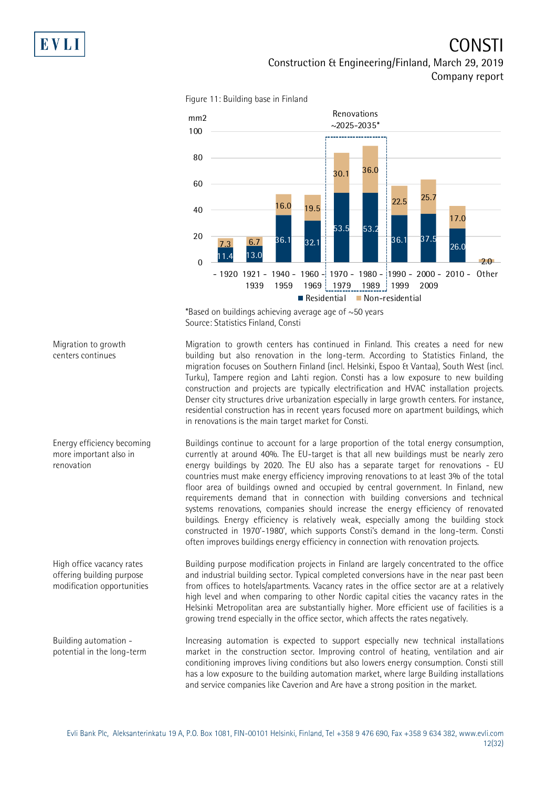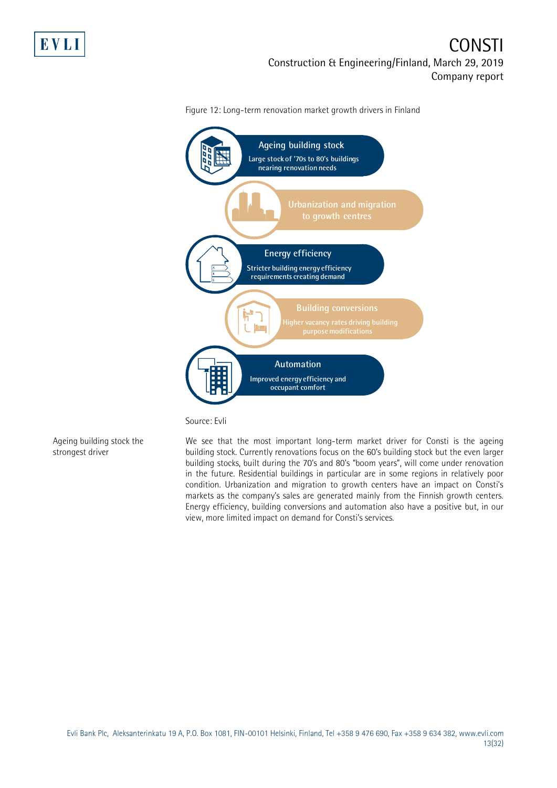



Figure 12: Long-term renovation market growth drivers in Finland

Source: Evli

Ageing building stock the strongest driver

We see that the most important long-term market driver for Consti is the ageing building stock. Currently renovations focus on the 60's building stock but the even larger building stocks, built during the 70's and 80's "boom years", will come under renovation in the future. Residential buildings in particular are in some regions in relatively poor condition. Urbanization and migration to growth centers have an impact on Consti's markets as the company's sales are generated mainly from the Finnish growth centers. Energy efficiency, building conversions and automation also have a positive but, in our view, more limited impact on demand for Consti's services.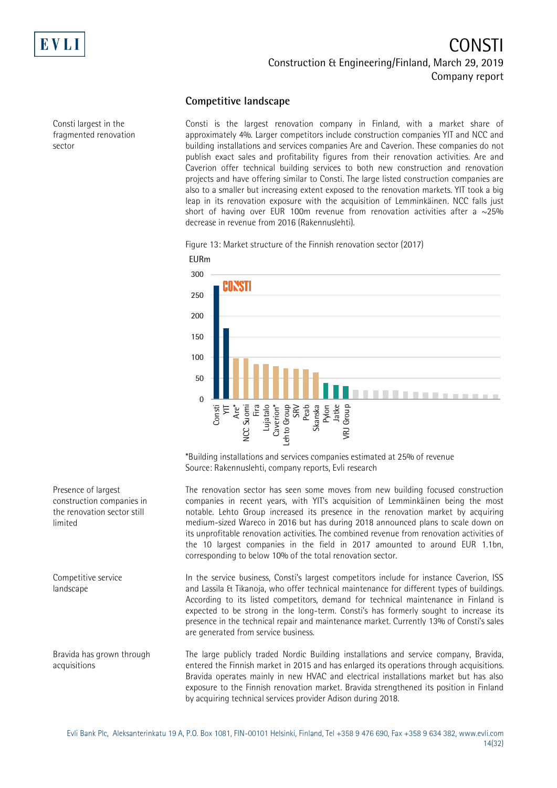

sector

Consti largest in the fragmented renovation

### CONSTI Construction & Engineering/Finland, March 29, 2019 Company report

#### **Competitive landscape**

Consti is the largest renovation company in Finland, with a market share of approximately 4%. Larger competitors include construction companies YIT and NCC and building installations and services companies Are and Caverion. These companies do not publish exact sales and profitability figures from their renovation activities. Are and Caverion offer technical building services to both new construction and renovation projects and have offering similar to Consti. The large listed construction companies are also to a smaller but increasing extent exposed to the renovation markets. YIT took a big leap in its renovation exposure with the acquisition of Lemminkäinen. NCC falls just short of having over EUR 100m revenue from renovation activities after a  $\sim$ 25% decrease in revenue from 2016 (Rakennuslehti).

Figure 13: Market structure of the Finnish renovation sector (2017)



\*Building installations and services companies estimated at 25% of revenue Source: Rakennuslehti, company reports, Evli research

The renovation sector has seen some moves from new building focused construction companies in recent years, with YIT's acquisition of Lemminkäinen being the most notable. Lehto Group increased its presence in the renovation market by acquiring medium-sized Wareco in 2016 but has during 2018 announced plans to scale down on its unprofitable renovation activities. The combined revenue from renovation activities of the 10 largest companies in the field in 2017 amounted to around EUR 1.1bn, corresponding to below 10% of the total renovation sector.

In the service business, Consti's largest competitors include for instance Caverion, ISS and Lassila & Tikanoja, who offer technical maintenance for different types of buildings. According to its listed competitors, demand for technical maintenance in Finland is expected to be strong in the long-term. Consti's has formerly sought to increase its presence in the technical repair and maintenance market. Currently 13% of Consti's sales are generated from service business.

The large publicly traded Nordic Building installations and service company, Bravida, entered the Finnish market in 2015 and has enlarged its operations through acquisitions. Bravida operates mainly in new HVAC and electrical installations market but has also exposure to the Finnish renovation market. Bravida strengthened its position in Finland by acquiring technical services provider Adison during 2018.

Presence of largest construction companies in the renovation sector still limited

Competitive service landscape

Bravida has grown through acquisitions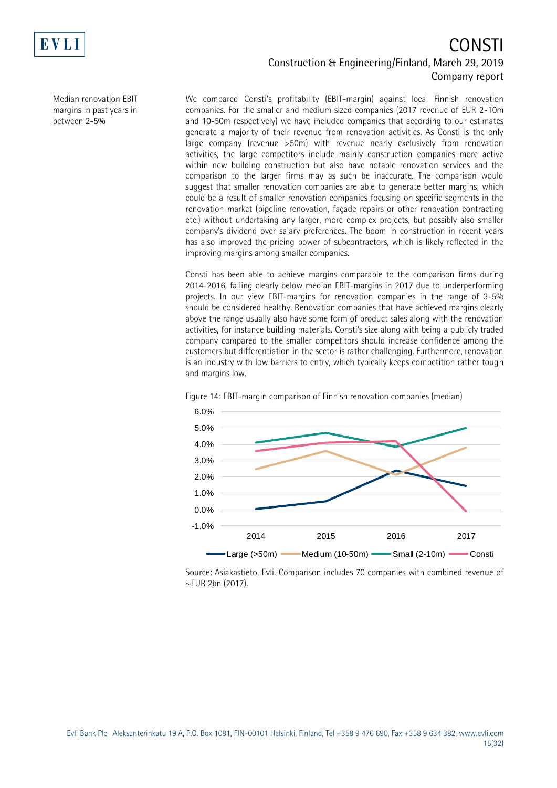

Median renovation EBIT margins in past years in between 2-5%

We compared Consti's profitability (EBIT-margin) against local Finnish renovation companies. For the smaller and medium sized companies (2017 revenue of EUR 2-10m and 10-50m respectively) we have included companies that according to our estimates generate a majority of their revenue from renovation activities. As Consti is the only large company (revenue >50m) with revenue nearly exclusively from renovation activities, the large competitors include mainly construction companies more active within new building construction but also have notable renovation services and the comparison to the larger firms may as such be inaccurate. The comparison would suggest that smaller renovation companies are able to generate better margins, which could be a result of smaller renovation companies focusing on specific segments in the renovation market (pipeline renovation, façade repairs or other renovation contracting etc.) without undertaking any larger, more complex projects, but possibly also smaller company's dividend over salary preferences. The boom in construction in recent years has also improved the pricing power of subcontractors, which is likely reflected in the improving margins among smaller companies.

Consti has been able to achieve margins comparable to the comparison firms during 2014-2016, falling clearly below median EBIT-margins in 2017 due to underperforming projects. In our view EBIT-margins for renovation companies in the range of 3-5% should be considered healthy. Renovation companies that have achieved margins clearly above the range usually also have some form of product sales along with the renovation activities, for instance building materials. Consti's size along with being a publicly traded company compared to the smaller competitors should increase confidence among the customers but differentiation in the sector is rather challenging. Furthermore, renovation is an industry with low barriers to entry, which typically keeps competition rather tough and margins low.



Figure 14: EBIT-margin comparison of Finnish renovation companies (median)

Source: Asiakastieto, Evli. Comparison includes 70 companies with combined revenue of ~EUR 2bn (2017).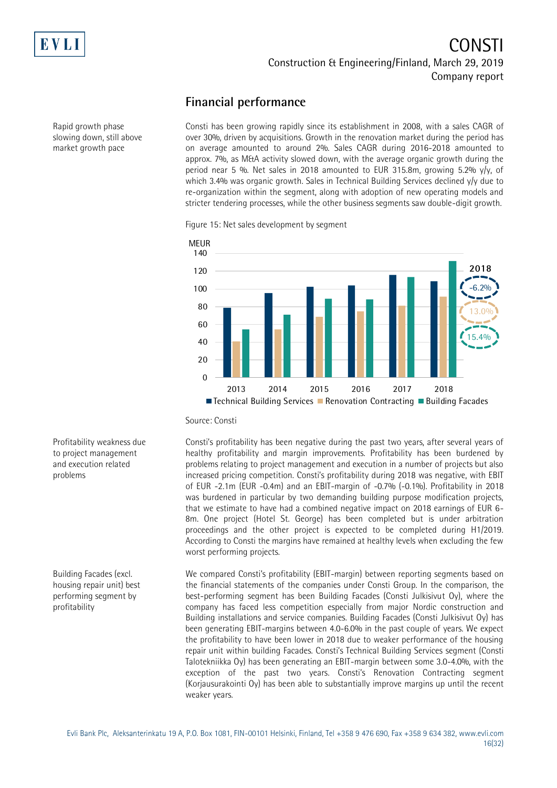

Rapid growth phase slowing down, still above market growth pace

### CONSTI Construction & Engineering/Finland, March 29, 2019 Company report

#### **Financial performance**

Consti has been growing rapidly since its establishment in 2008, with a sales CAGR of over 30%, driven by acquisitions. Growth in the renovation market during the period has on average amounted to around 2%. Sales CAGR during 2016-2018 amounted to approx. 7%, as M&A activity slowed down, with the average organic growth during the period near 5 %. Net sales in 2018 amounted to EUR 315.8m, growing 5.2%  $y/y$ , of which 3.4% was organic growth. Sales in Technical Building Services declined y/y due to re-organization within the segment, along with adoption of new operating models and stricter tendering processes, while the other business segments saw double-digit growth.

Figure 15: Net sales development by segment



Source: Consti

Consti's profitability has been negative during the past two years, after several years of healthy profitability and margin improvements. Profitability has been burdened by problems relating to project management and execution in a number of projects but also increased pricing competition. Consti's profitability during 2018 was negative, with EBIT of EUR -2.1m (EUR -0.4m) and an EBIT-margin of -0.7% (-0.1%). Profitability in 2018 was burdened in particular by two demanding building purpose modification projects, that we estimate to have had a combined negative impact on 2018 earnings of EUR 6- 8m. One project (Hotel St. George) has been completed but is under arbitration proceedings and the other project is expected to be completed during H1/2019. According to Consti the margins have remained at healthy levels when excluding the few worst performing projects.

We compared Consti's profitability (EBIT-margin) between reporting segments based on the financial statements of the companies under Consti Group. In the comparison, the best-performing segment has been Building Facades (Consti Julkisivut Oy), where the company has faced less competition especially from major Nordic construction and Building installations and service companies. Building Facades (Consti Julkisivut Oy) has been generating EBIT-margins between 4.0-6.0% in the past couple of years. We expect the profitability to have been lower in 2018 due to weaker performance of the housing repair unit within building Facades. Consti's Technical Building Services segment (Consti Talotekniikka Oy) has been generating an EBIT-margin between some 3.0-4.0%, with the exception of the past two years. Consti's Renovation Contracting segment (Korjausurakointi Oy) has been able to substantially improve margins up until the recent weaker years.

Profitability weakness due to project management and execution related problems

Building Facades (excl. housing repair unit) best performing segment by profitability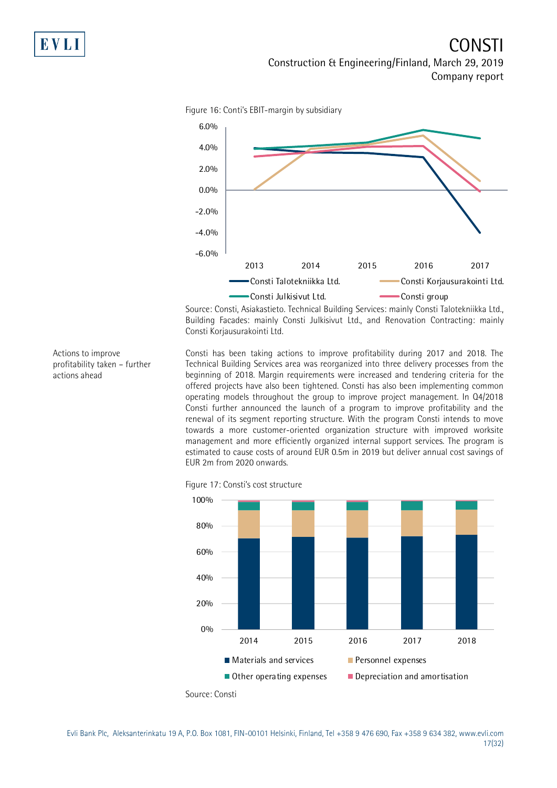

Figure 16: Conti's EBIT-margin by subsidiary

Source: Consti, Asiakastieto. Technical Building Services: mainly Consti Talotekniikka Ltd., Building Facades: mainly Consti Julkisivut Ltd., and Renovation Contracting: mainly Consti Korjausurakointi Ltd.

Consti has been taking actions to improve profitability during 2017 and 2018. The Technical Building Services area was reorganized into three delivery processes from the beginning of 2018. Margin requirements were increased and tendering criteria for the offered projects have also been tightened. Consti has also been implementing common operating models throughout the group to improve project management. In Q4/2018 Consti further announced the launch of a program to improve profitability and the renewal of its segment reporting structure. With the program Consti intends to move towards a more customer-oriented organization structure with improved worksite management and more efficiently organized internal support services. The program is estimated to cause costs of around EUR 0.5m in 2019 but deliver annual cost savings of EUR 2m from 2020 onwards.





profitability taken – further actions ahead

Actions to improve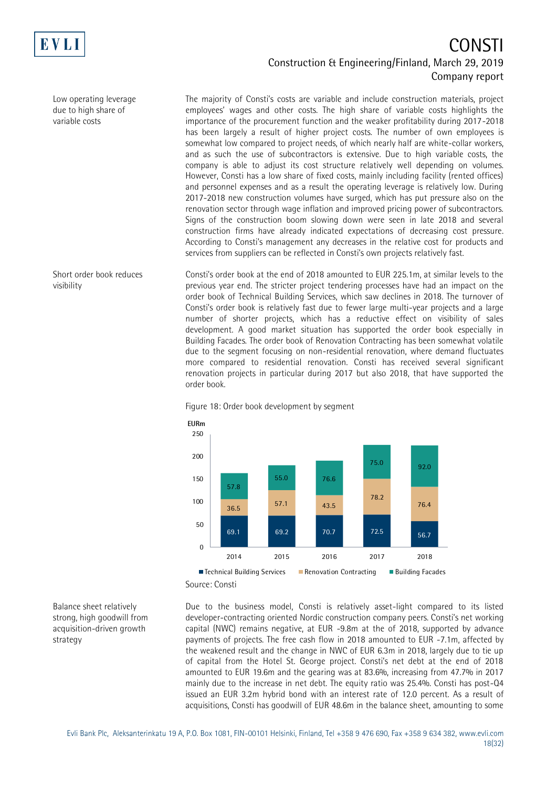

Low operating leverage due to high share of variable costs

Short order book reduces visibility

The majority of Consti's costs are variable and include construction materials, project employees' wages and other costs. The high share of variable costs highlights the importance of the procurement function and the weaker profitability during 2017-2018 has been largely a result of higher project costs. The number of own employees is somewhat low compared to project needs, of which nearly half are white-collar workers, and as such the use of subcontractors is extensive. Due to high variable costs, the company is able to adjust its cost structure relatively well depending on volumes. However, Consti has a low share of fixed costs, mainly including facility (rented offices) and personnel expenses and as a result the operating leverage is relatively low. During 2017-2018 new construction volumes have surged, which has put pressure also on the renovation sector through wage inflation and improved pricing power of subcontractors. Signs of the construction boom slowing down were seen in late 2018 and several construction firms have already indicated expectations of decreasing cost pressure. According to Consti's management any decreases in the relative cost for products and services from suppliers can be reflected in Consti's own projects relatively fast.

Consti's order book at the end of 2018 amounted to EUR 225.1m, at similar levels to the previous year end. The stricter project tendering processes have had an impact on the order book of Technical Building Services, which saw declines in 2018. The turnover of Consti's order book is relatively fast due to fewer large multi-year projects and a large number of shorter projects, which has a reductive effect on visibility of sales development. A good market situation has supported the order book especially in Building Facades. The order book of Renovation Contracting has been somewhat volatile due to the segment focusing on non-residential renovation, where demand fluctuates more compared to residential renovation. Consti has received several significant renovation projects in particular during 2017 but also 2018, that have supported the order book.



Figure 18: Order book development by segment

Balance sheet relatively strong, high goodwill from acquisition-driven growth strategy

Due to the business model, Consti is relatively asset-light compared to its listed developer-contracting oriented Nordic construction company peers. Consti's net working capital (NWC) remains negative, at EUR -9.8m at the of 2018, supported by advance payments of projects. The free cash flow in 2018 amounted to EUR -7.1m, affected by the weakened result and the change in NWC of EUR 6.3m in 2018, largely due to tie up of capital from the Hotel St. George project. Consti's net debt at the end of 2018 amounted to EUR 19.6m and the gearing was at 83.6%, increasing from 47.7% in 2017 mainly due to the increase in net debt. The equity ratio was 25.4%. Consti has post-Q4 issued an EUR 3.2m hybrid bond with an interest rate of 12.0 percent. As a result of acquisitions, Consti has goodwill of EUR 48.6m in the balance sheet, amounting to some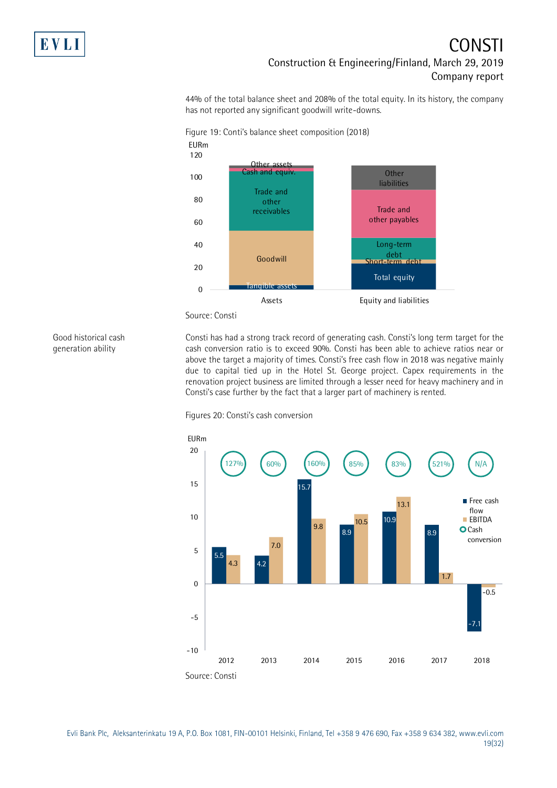

44% of the total balance sheet and 208% of the total equity. In its history, the company has not reported any significant goodwill write-downs.



Source: Consti

Good historical cash generation ability

Consti has had a strong track record of generating cash. Consti's long term target for the cash conversion ratio is to exceed 90%. Consti has been able to achieve ratios near or above the target a majority of times. Consti's free cash flow in 2018 was negative mainly due to capital tied up in the Hotel St. George project. Capex requirements in the renovation project business are limited through a lesser need for heavy machinery and in Consti's case further by the fact that a larger part of machinery is rented.

Figures 20: Consti's cash conversion



Evli Bank Plc, Aleksanterinkatu 19 A, P.O. Box 1081, FIN-00101 Helsinki, Finland, Tel +358 9 476 690, Fax +358 9 634 382, [www.evli.com](http://www.evli.com/) 19(32)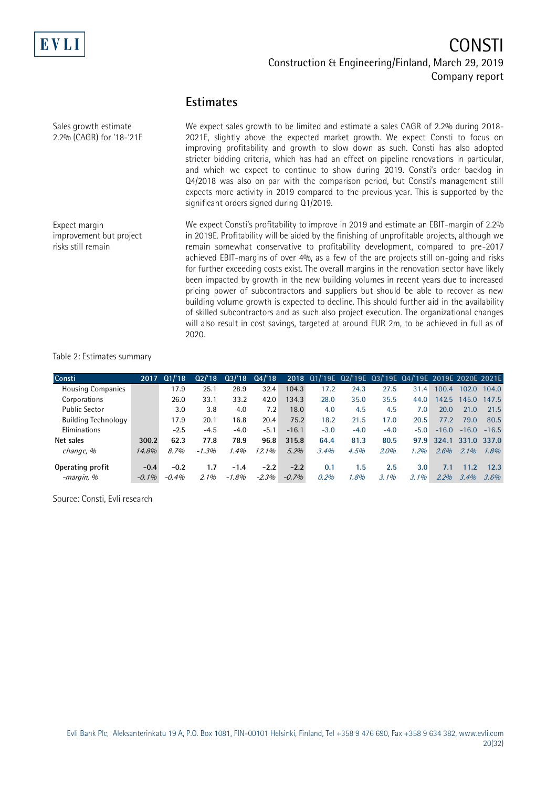

#### **Estimates**

We expect sales growth to be limited and estimate a sales CAGR of 2.2% during 2018- 2021E, slightly above the expected market growth. We expect Consti to focus on improving profitability and growth to slow down as such. Consti has also adopted stricter bidding criteria, which has had an effect on pipeline renovations in particular, and which we expect to continue to show during 2019. Consti's order backlog in Q4/2018 was also on par with the comparison period, but Consti's management still expects more activity in 2019 compared to the previous year. This is supported by the significant orders signed during Q1/2019. We expect Consti's profitability to improve in 2019 and estimate an EBIT-margin of 2.2% in 2019E. Profitability will be aided by the finishing of unprofitable projects, although we remain somewhat conservative to profitability development, compared to pre-2017 achieved EBIT-margins of over 4%, as a few of the are projects still on-going and risks for further exceeding costs exist. The overall margins in the renovation sector have likely been impacted by growth in the new building volumes in recent years due to increased pricing power of subcontractors and suppliers but should be able to recover as new building volume growth is expected to decline. This should further aid in the availability of skilled subcontractors and as such also project execution. The organizational changes will also result in cost savings, targeted at around EUR 2m, to be achieved in full as of 2020. Sales growth estimate 2.2% (CAGR) for '18-'21E Expect margin improvement but project risks still remain

#### Table 2: Estimates summary

| Consti                     |          | 2017 01/18 | 02/18   | 03/18   | 04/18   |         | 2018 01/'19E 02/'19E 03/'19E 04/'19E 2019E 2020E 2021E |        |        |               |                   |         |         |
|----------------------------|----------|------------|---------|---------|---------|---------|--------------------------------------------------------|--------|--------|---------------|-------------------|---------|---------|
| <b>Housing Companies</b>   |          | 17.9       | 25.1    | 28.9    | 32.4    | 104.3   | 17.2                                                   | 24.3   | 27.5   | 31.4          | 100.4             | 102.0   | 104.0   |
| Corporations               |          | 26.0       | 33.1    | 33.2    | 42.0    | 134.3   | 28.0                                                   | 35.0   | 35.5   | 44.0          | 142.5             | 145.0   | 147.5   |
| <b>Public Sector</b>       |          | 3.0        | 3.8     | 4.0     | 7.2     | 18.0    | 4.0                                                    | 4.5    | 4.5    | 7.0           | 20.0              | 21.0    | 21.5    |
| <b>Building Technology</b> |          | 17.9       | 20.1    | 16.8    | 20.4    | 75.2    | 18.2                                                   | 21.5   | 17.0   | 20.5          | 77.2              | 79.0    | 80.5    |
| Eliminations               |          | $-2.5$     | $-4.5$  | $-4.0$  | $-5.1$  | $-16.1$ | $-3.0$                                                 | $-4.0$ | $-4.0$ | $-5.0$        | $-16.0$           | $-16.0$ | $-16.5$ |
| Net sales                  | 300.2    | 62.3       | 77.8    | 78.9    | 96.8    | 315.8   | 64.4                                                   | 81.3   | 80.5   | 97.9          | 324.1 331.0 337.0 |         |         |
| change, %                  | 14.8%    | 8.7%       | $-1.3%$ | 1.4%    | 12.1%   | $5.2\%$ | 3.4%                                                   | 4.5%   | 2.0%   | 1.2%          | 2.6%              | $2.1\%$ | 1.8%    |
| Operating profit           | $-0.4$   | $-0.2$     | 1.7     | $-1.4$  | $-2.2$  | $-2.2$  | 0.1                                                    | 1.5    | 2.5    | $3.0^{\circ}$ | 7.1               | 11.2    | 12.3    |
| -margin, %                 | $-0.1\%$ | $-0.4%$    | $2.1\%$ | $-1.8%$ | $-2.3%$ | $-0.7%$ | 0.2%                                                   | 1.8%   | 3.1%   | 3.1%          | 2.2%              | 3.4%    | 3.6%    |

Source: Consti, Evli research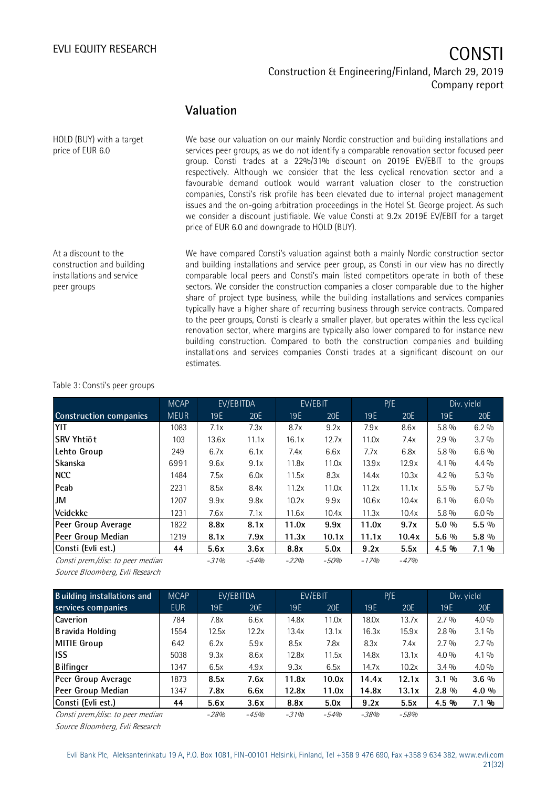#### EVLI EQUITY RESEARCH

# Construction & Engineering/Finland, March 29, 2019 Company report

#### **Valuation**

We base our valuation on our mainly Nordic construction and building installations and services peer groups, as we do not identify a comparable renovation sector focused peer group. Consti trades at a 22%/31% discount on 2019E EV/EBIT to the groups respectively. Although we consider that the less cyclical renovation sector and a favourable demand outlook would warrant valuation closer to the construction companies, Consti's risk profile has been elevated due to internal project management issues and the on-going arbitration proceedings in the Hotel St. George project. As such we consider a discount justifiable. We value Consti at 9.2x 2019E EV/EBIT for a target price of EUR 6.0 and downgrade to HOLD (BUY). HOLD (BUY) with a target price of EUR 6.0 At a discount to the

We have compared Consti's valuation against both a mainly Nordic construction sector and building installations and service peer group, as Consti in our view has no directly comparable local peers and Consti's main listed competitors operate in both of these sectors. We consider the construction companies a closer comparable due to the higher share of project type business, while the building installations and services companies typically have a higher share of recurring business through service contracts. Compared to the peer groups, Consti is clearly a smaller player, but operates within the less cyclical renovation sector, where margins are typically also lower compared to for instance new building construction. Compared to both the construction companies and building installations and services companies Consti trades at a significant discount on our estimates.

#### Table 3: Consti's peer groups

construction and building installations and service

peer groups

|                                   | <b>MCAP</b> |        | EV/EBITDA |        | EV/EBIT |        | P/E    |         | Div. yield |
|-----------------------------------|-------------|--------|-----------|--------|---------|--------|--------|---------|------------|
| <b>Construction companies</b>     | <b>MEUR</b> | 19E    | 20E       | 19 E   | 20E     | 19E    | 20E    | 19E     | 20E        |
| <b>YIT</b>                        | 1083        | 7.1x   | 7.3x      | 8.7x   | 9.2x    | 7.9x   | 8.6x   | $5.8\%$ | $6.2\%$    |
| lSRV Yhtiöt                       | 103         | 13.6x  | 11.1x     | 16.1x  | 12.7x   | 11.0x  | 7.4x   | $2.9\%$ | $3.7\%$    |
| Lehto Group                       | 249         | 6.7x   | 6.1x      | 7.4x   | 6.6x    | 7.7x   | 6.8x   | $5.8\%$ | 6.6 %      |
| <b>Skanska</b>                    | 6991        | 9.6x   | 9.1x      | 11.8x  | 11.0x   | 13.9x  | 12.9x  | $4.1\%$ | $4.4\%$    |
| <b>NCC</b>                        | 1484        | 7.5x   | 6.0x      | 11.5x  | 8.3x    | 14.4x  | 10.3x  | $4.2\%$ | 5.3 %      |
| <b>Peab</b>                       | 2231        | 8.5x   | 8.4x      | 11.2x  | 11.0x   | 11.2x  | 11.1x  | $5.5\%$ | $5.7\%$    |
| JM                                | 1207        | 9.9x   | 9.8x      | 10.2x  | 9.9x    | 10.6x  | 10.4x  | $6.1\%$ | $6.0\%$    |
| <b>Veidekke</b>                   | 1231        | 7.6x   | 7.1x      | 11.6x  | 10.4x   | 11.3x  | 10.4x  | $5.8\%$ | $6.0\%$    |
| Peer Group Average                | 1822        | 8.8x   | 8.1x      | 11.0x  | 9.9x    | 11.0x  | 9.7x   | $5.0\%$ | $5.5\%$    |
| Peer Group Median                 | 1219        | 8.1x   | 7.9x      | 11.3x  | 10.1x   | 11.1x  | 10.4x  | $5.6\%$ | $5.8\%$    |
| Consti (Evli est.)                | 44          | 5.6x   | 3.6x      | 8.8x   | 5.0x    | 9.2x   | 5.5x   | 4.5 %   | 7.1 %      |
| Consti prem./disc. to peer median |             | $-31%$ | $-54%$    | $-22%$ | $-50%$  | $-17%$ | $-47%$ |         |            |

Source Bloomberg, Evli Research

| <b>Building installations and</b> | <b>MCAP</b> |        | EV/EBITDA | EV/EBIT         |        | P/E    |       | Div. yield |         |  |
|-----------------------------------|-------------|--------|-----------|-----------------|--------|--------|-------|------------|---------|--|
| services companies                | <b>EUR</b>  | 19E    | 20E       | 19 <sub>E</sub> | 20E    | 19E    | 20E   | 19E        | 20E     |  |
| Caverion                          | 784         | 7.8x   | 6.6x      | 14.8x           | 11.0x  | 18.0x  | 13.7x | $2.7\%$    | $4.0\%$ |  |
| Bravida Holding                   | 1554        | 12.5x  | 12.2x     | 13.4x           | 13.1x  | 16.3x  | 15.9x | $2.8\%$    | $3.1\%$ |  |
| MITIE Group                       | 642         | 6.2x   | 5.9x      | 8.5x            | 7.8x   | 8.3x   | 7.4x  | $2.7\%$    | $2.7\%$ |  |
| <b>ISS</b>                        | 5038        | 9.3x   | 8.6x      | 12.8x           | 11.5x  | 14.8x  | 13.1x | $4.0\%$    | $4.1\%$ |  |
| Bilfinger                         | 1347        | 6.5x   | 4.9x      | 9.3x            | 6.5x   | 14.7x  | 10.2x | $3.4\%$    | $4.0\%$ |  |
| Peer Group Average                | 1873        | 8.5x   | 7.6x      | 11.8x           | 10.0x  | 14.4x  | 12.1x | $3.1\%$    | $3.6\%$ |  |
| Peer Group Median                 | 1347        | 7.8x   | 6.6x      | 12.8x           | 11.0x  | 14.8x  | 13.1x | $2.8\%$    | 4.0 %   |  |
| Consti (Evli est.)                | 44          | 5.6x   | 3.6x      | 8.8x            | 5.0x   | 9.2x   | 5.5x  | 4.5 %      | 7.1 %   |  |
| Consti prem./disc. to peer median |             | $-28%$ | $-4.5%$   | $-31%$          | $-54%$ | $-38%$ | -58%  |            |         |  |

Source Bloomberg, Evli Research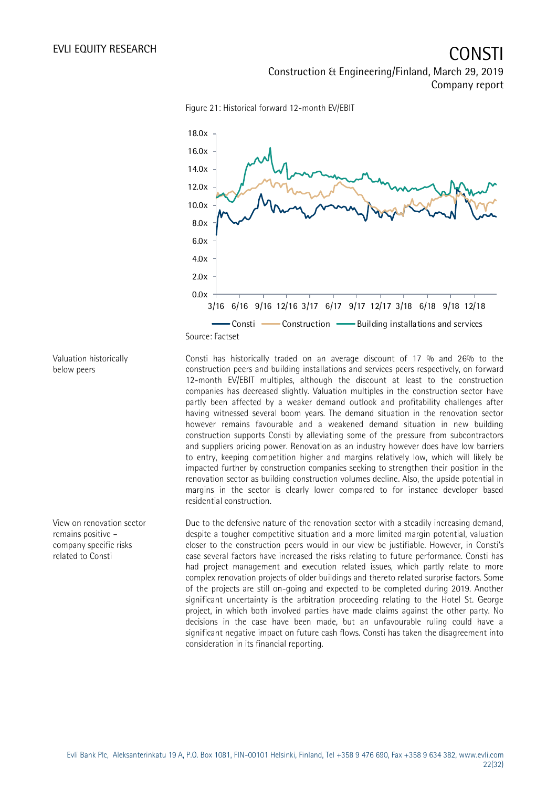

Figure 21: Historical forward 12-month EV/EBIT

Valuation historically below peers

View on renovation sector remains positive – company specific risks related to Consti

Consti has historically traded on an average discount of 17 % and 26% to the construction peers and building installations and services peers respectively, on forward 12-month EV/EBIT multiples, although the discount at least to the construction companies has decreased slightly. Valuation multiples in the construction sector have partly been affected by a weaker demand outlook and profitability challenges after having witnessed several boom years. The demand situation in the renovation sector however remains favourable and a weakened demand situation in new building construction supports Consti by alleviating some of the pressure from subcontractors and suppliers pricing power. Renovation as an industry however does have low barriers to entry, keeping competition higher and margins relatively low, which will likely be impacted further by construction companies seeking to strengthen their position in the renovation sector as building construction volumes decline. Also, the upside potential in margins in the sector is clearly lower compared to for instance developer based residential construction.

Due to the defensive nature of the renovation sector with a steadily increasing demand, despite a tougher competitive situation and a more limited margin potential, valuation closer to the construction peers would in our view be justifiable. However, in Consti's case several factors have increased the risks relating to future performance. Consti has had project management and execution related issues, which partly relate to more complex renovation projects of older buildings and thereto related surprise factors. Some of the projects are still on-going and expected to be completed during 2019. Another significant uncertainty is the arbitration proceeding relating to the Hotel St. George project, in which both involved parties have made claims against the other party. No decisions in the case have been made, but an unfavourable ruling could have a significant negative impact on future cash flows. Consti has taken the disagreement into consideration in its financial reporting.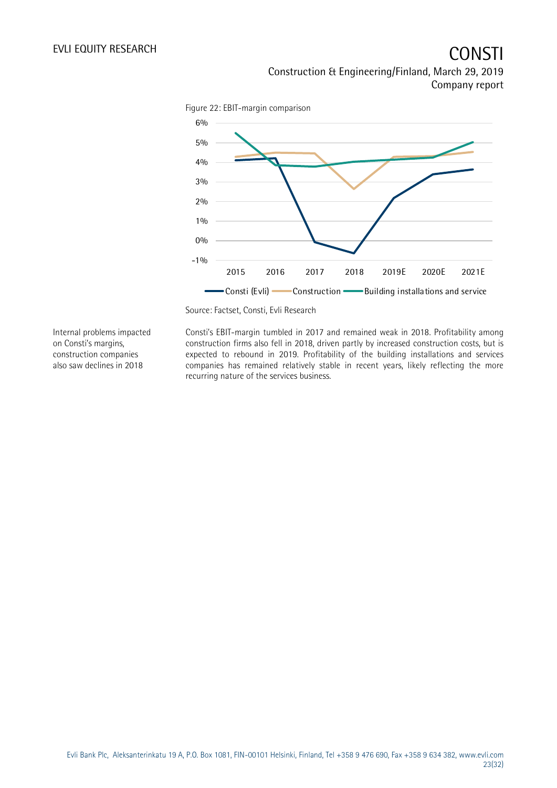

Source: Factset, Consti, Evli Research

Internal problems impacted on Consti's margins, construction companies also saw declines in 2018

Consti's EBIT-margin tumbled in 2017 and remained weak in 2018. Profitability among construction firms also fell in 2018, driven partly by increased construction costs, but is expected to rebound in 2019. Profitability of the building installations and services companies has remained relatively stable in recent years, likely reflecting the more recurring nature of the services business.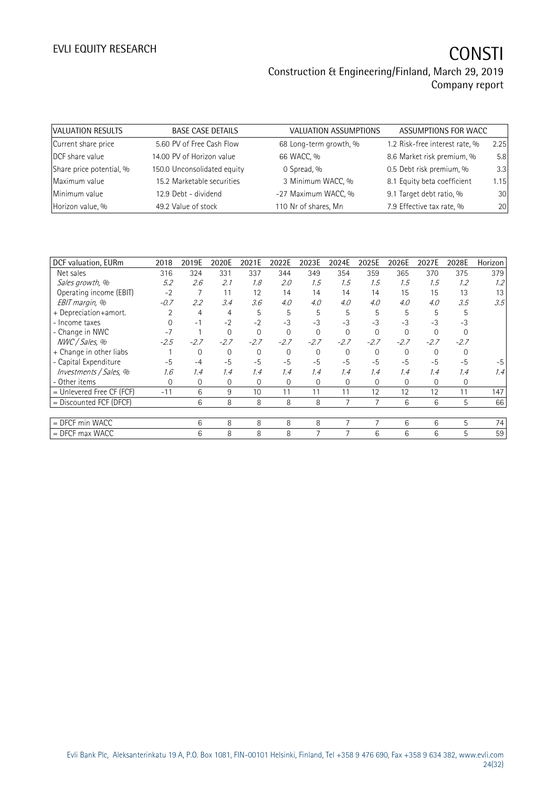| VALUATION RESULTS        | <b>BASE CASE DETAILS</b>    | VALUATION ASSUMPTIONS  | ASSUMPTIONS FOR WACC           |      |
|--------------------------|-----------------------------|------------------------|--------------------------------|------|
| Current share price      | 5.60 PV of Free Cash Flow   | 68 Long-term growth, % | 1.2 Risk-free interest rate, % | 2.25 |
| DCF share value          | 14.00 PV of Horizon value   | 66 WACC, %             | 8.6 Market risk premium, %     | 5.8  |
| Share price potential, % | 150.0 Unconsolidated equity | 0 Spread, %            | 0.5 Debt risk premium, %       | 3.3  |
| Maximum value            | 15.2 Marketable securities  | 3 Minimum WACC, %      | 8.1 Equity beta coefficient    | 1.15 |
| Minimum value            | 12.9 Debt - dividend        | -27 Maximum WACC, %    | 9.1 Target debt ratio, %       | 30   |
| Horizon value, %         | 49.2 Value of stock         | 110 Nr of shares, Mn   | 7.9 Effective tax rate, %      | 20   |

| DCF valuation, EURm       | 2018   | 2019E  | 2020E    | 2021E  | 2022E        | 2023E    | 2024E        | 2025E    | 2026E    | 2027E    | 2028E    | Horizon |
|---------------------------|--------|--------|----------|--------|--------------|----------|--------------|----------|----------|----------|----------|---------|
| Net sales                 | 316    | 324    | 331      | 337    | 344          | 349      | 354          | 359      | 365      | 370      | 375      | 379     |
| Sales growth, %           | 5.2    | 2.6    | 2.1      | 1.8    | 2.0          | 1.5      | 1.5          | 1.5      | 1.5      | 1.5      | 1.2      | 1.2     |
| Operating income (EBIT)   | $-2$   |        | 11       | 12     | 14           | 14       | 14           | 14       | 15       | 15       | 13       | 13      |
| EBIT margin, %            | $-0.7$ | 2.2    | 3.4      | 3.6    | 4.0          | 4.0      | 4.0          | 4.0      | 4.0      | 4.0      | 3.5      | 3.5     |
| + Depreciation+amort.     |        | 4      | 4        | 5      | 5            | 5        | 5            | 5        | 5        | 5        | 5        |         |
| - Income taxes            |        | $-1$   | $-2$     | $-2$   | $-3$         | $-3$     | $-3$         | $-3$     | $-3$     | $-3$     | $-3$     |         |
| - Change in NWC           | $-7$   |        | $\Omega$ | 0      | $\Omega$     | $\Omega$ | $\Omega$     | $\Omega$ | $\Omega$ | $\Omega$ |          |         |
| NWC / Sales, %            | $-2.5$ | $-2.7$ | $-2.7$   | $-2.7$ | $-2.7$       | $-2.7$   | $-2.7$       | $-2.7$   | $-2.7$   | $-2.7$   | $-2.7$   |         |
| + Change in other liabs   |        | 0      | $\Omega$ | 0      | $\Omega$     | $\Omega$ | $\Omega$     | $\Omega$ | $\Omega$ | $\Omega$ | $\Omega$ |         |
| - Capital Expenditure     | $-5$   | $-4$   | $-5$     | $-5$   | $-5$         | $-5$     | $-5$         | $-5$     | $-5$     | $-5$     | $-5$     | -5      |
| Investments / Sales, %    | 1.6    | 1.4    | 1.4      | 1.4    | 1.4          | 1.4      | 1.4          | 1.4      | 1.4      | 1.4      | 1.4      | 1.4     |
| - Other items             | 0      | 0      | 0        | 0      | $\mathbf{0}$ | $\Omega$ | $\mathbf{0}$ | $\Omega$ | 0        | 0        | 0        |         |
| = Unlevered Free CF (FCF) | $-11$  | 6      | 9        | 10     | 11           | 11       | 11           | 12       | 12       | 12       | 11       | 147     |
| = Discounted FCF (DFCF)   |        | 6      | 8        | 8      | 8            | 8        | 7            |          | 6        | 6        | 5        | 66      |
|                           |        |        |          |        |              |          |              |          |          |          |          |         |
| $=$ DFCF min WACC         |        | 6      | 8        | 8      | 8            | 8        | 7            | 7        | 6        | 6        | 5        | 74      |
| $=$ DFCF max WACC         |        | 6      | 8        | 8      | 8            |          |              | 6        | 6        | 6        | 5        | 59      |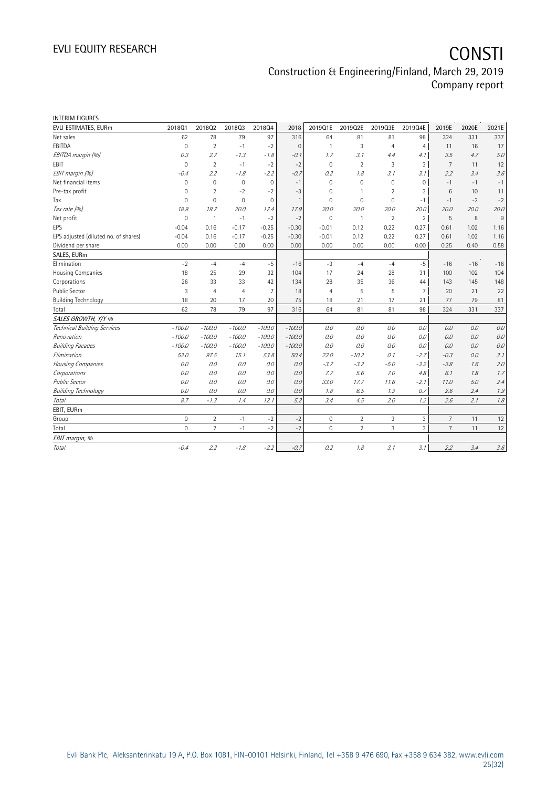| <b>INTERIM FIGURES</b>               |             |                |                |                |                |                     |                |                |                |                 |       |         |
|--------------------------------------|-------------|----------------|----------------|----------------|----------------|---------------------|----------------|----------------|----------------|-----------------|-------|---------|
| EVLI ESTIMATES, EURm                 | 201801      | 201802         | 201803         | 201804         | 2018           | 2019Q1E             | 2019Q2E        | 2019Q3E        | 2019Q4E        | 2019E           | 2020E | 2021E   |
| Net sales                            | 62          | 78             | 79             | 97             | 316            | 64                  | 81             | 81             | 98             | 324             | 331   | 337     |
| EBITDA                               | 0           | $\overline{2}$ | $-1$           | $-2$           | $\Omega$       | $\mathbf{1}$        | 3              | $\overline{4}$ | $\overline{4}$ | 11              | 16    | 17      |
| EBITDA margin (%)                    | 0.3         | 2.7            | $-1.3$         | $-1.8$         | $-0.1$         | 1.7                 | 3.1            | 4.4            | 4.1            | 3.5             | 4.7   | 5.0     |
| EBIT                                 | $\mathbf 0$ | $\overline{2}$ | $-1$           | $-2$           | $-2$           | $\mathbf 0$         | $\overline{2}$ | 3              | 3              | $\overline{7}$  | 11    | 12      |
| EBIT margin (%)                      | $-0.4$      | 2.2            | $-1.8$         | $-2.2$         | $-0.7$         | 0.2                 | 1.8            | 3.1            | 3.1            | 2.2             | 3.4   | 3.6     |
| Net financial items                  | $\mathbf 0$ | $\mathbf 0$    | $\mathbf 0$    | $\mathbf 0$    | $-1$           | $\mathbf 0$         | $\Omega$       | 0              | $\mathbf 0$    | $-1$            | $-1$  | $-1$    |
| Pre-tax profit                       | 0           | $\overline{2}$ | $-2$           | $-2$           | $-3$           | $\mathbf{0}$        | 1              | $\overline{2}$ | 3              | $6\phantom{1}6$ | 10    | 11      |
| Tax                                  | 0           | $\mathbf{0}$   | $\mathbf 0$    | $\mathbf 0$    | $\overline{1}$ | $\mathbf 0$         | $\mathbf{0}$   | 0              | $-1$           | $-1$            | $-2$  | $-2$    |
| Tax rate (%)                         | 18.9        | 19.7           | 20.0           | 17.4           | 17.9           | 20.0                | 20.0           | 20.0           | 20.0           | 20.0            | 20.0  | 20.0    |
| Net profit                           | $\mathbf 0$ | $\overline{1}$ | $-1$           | $-2$           | $-2$           | $\mathbf 0$         | $\mathbf{1}$   | $\overline{2}$ | $\overline{2}$ | 5               | 8     | 9       |
| <b>FPS</b>                           | $-0.04$     | 0.16           | $-0.17$        | $-0.25$        | $-0.30$        | $-0.01$             | 0.12           | 0.22           | 0.27           | 0.61            | 1.02  | 1.16    |
| EPS adjusted (diluted no. of shares) | $-0.04$     | 0.16           | $-0.17$        | $-0.25$        | $-0.30$        | $-0.01$             | 0.12           | 0.22           | 0.27           | 0.61            | 1.02  | 1.16    |
| Dividend per share                   | 0.00        | 0.00           | 0.00           | 0.00           | 0.00           | 0.00                | 0.00           | 0.00           | 0.00           | 0.25            | 0.40  | 0.58    |
| SALES, EURm                          |             |                |                |                |                |                     |                |                |                |                 |       |         |
| Elimination                          | $-2$        | $-4$           | $-4$           | $-5$           | $-16$          | $-3$                | $-4$           | $-4$           | $-5$           | $-16$           | $-16$ | $-16$   |
| Housing Companies                    | 18          | 25             | 29             | 32             | 104            | 17                  | 24             | 28             | 31             | 100             | 102   | 104     |
| Corporations                         | 26          | 33             | 33             | 42             | 134            | 28                  | 35             | 36             | 44             | 143             | 145   | 148     |
| <b>Public Sector</b>                 | 3           | $\overline{4}$ | $\overline{4}$ | $\overline{7}$ | 18             | $\overline{4}$      | 5              | 5              | $\overline{7}$ | 20              | 21    | 22      |
| <b>Building Technology</b>           | 18          | 20             | 17             | 20             | 75             | 18                  | 21             | 17             | 21             | 77              | 79    | 81      |
| Total                                | 62          | 78             | 79             | 97             | 316            | 64                  | 81             | 81             | 98             | 324             | 331   | 337     |
| SALES GROWTH, Y/Y %                  |             |                |                |                |                |                     |                |                |                |                 |       |         |
| Technical Building Services          | $-100.0$    | $-100.0$       | $-100.0$       | $-100.0$       | $-100.0$       | 0.0                 | 0.0            | 0.0            | 0.0            | 0.0             | 0.0   | 0.0     |
| Renovation                           | $-100.0$    | $-100.0$       | $-100.0$       | $-100.0$       | $-100.0$       | 0.0                 | 0.0            | 0.0            | 0.0            | 0.0             | 0.0   | $0.0\,$ |
| <b>Building Facades</b>              | $-100.0$    | $-100.0$       | $-100.0$       | $-100.0$       | $-100.0$       | 0.0                 | 0.0            | 0.0            | 0.0            | 0.0             | 0.0   | 0.0     |
| Elimination                          | 53.0        | 97.5           | 15.1           | 53.8           | 50.4           | 22.0                | $-10.2$        | 0.1            | $-2.7$         | $-0.3$          | 0.0   | 3.1     |
| Housing Companies                    | 0.0         | 0.0            | 0.0            | 0.0            | 0.0            | $-3.7$              | $-3.2$         | $-5.0$         | $-3.2$         | $-3.8$          | 1.6   | 2.0     |
| Corporations                         | 0.0         | 0.0            | 0.0            | 0.0            | 0.0            | 7.7                 | 5.6            | 7.0            | 4.8            | 6.1             | 1.8   | 1.7     |
| <b>Public Sector</b>                 | 0.0         | 0.0            | 0.0            | 0.0            | 0.0            | 33.0                | 17.7           | 11.6           | $-2.1$         | 11.0            | 5.0   | 2.4     |
| <b>Building Technology</b>           | 0.0         | 0.0            | 0.0            | 0.0            | 0.0            | 1.8                 | 6.5            | 1.3            | 0.7            | 2.6             | 2.4   | 1.9     |
| Total                                | 8.7         | $-1.3$         | 1.4            | 12.1           | 5.2            | 3.4                 | 4.5            | 2.0            | 1.2            | 2.6             | 2.1   | 1.8     |
| EBIT, EURm                           |             |                |                |                |                |                     |                |                |                |                 |       |         |
| Group                                | 0           | $\overline{2}$ | $-1$           | $-2$           | $-2$           | $\mathbf 0$         | $\overline{2}$ | 3              | 3              | $7\overline{ }$ | 11    | 12      |
| Total                                | $\mathbf 0$ | $\overline{2}$ | $-1$           | $-2$           | $-2$           | $\mathsf{O}\xspace$ | $\overline{2}$ | 3              | $\overline{3}$ | $\overline{7}$  | 11    | 12      |
| EBIT margin, %                       |             |                |                |                |                |                     |                |                |                |                 |       |         |
| Total                                | $-0.4$      | 2.2            | $-1.8$         | $-2.2$         | $-0.7$         | 0.2                 | 1.8            | 3.1            | 3.1            | 2.2             | 3.4   | $3.6\,$ |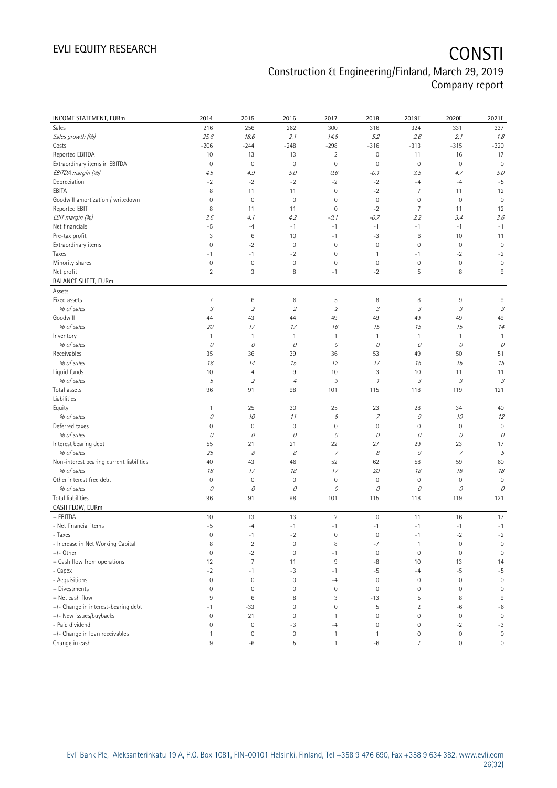# EVLI EQUITY RESEARCH **CONSTI**

## Construction & Engineering/Finland, March 29, 2019 Company report

| INCOME STATEMENT, EURm                   | 2014                       | 2015                        | 2016                     | 2017                        | 2018                       | 2019E                       | 2020E       | 2021E                      |
|------------------------------------------|----------------------------|-----------------------------|--------------------------|-----------------------------|----------------------------|-----------------------------|-------------|----------------------------|
| Sales                                    | 216                        | 256                         | 262                      | 300                         | 316                        | 324                         | 331         | 337                        |
| Sales growth (%)                         | 25.6                       | 18.6                        | 2.1                      | 14.8                        | 5.2                        | 2.6                         | 2.1         | 1.8                        |
| Costs                                    | $-206$                     | $-244$                      | $-248$                   | $-298$                      | $-316$                     | $-313$                      | $-315$      | $-320$                     |
| Reported EBITDA                          | 10                         | 13                          | 13                       | $\overline{\mathbf{c}}$     | $\mathsf{O}\xspace$        | 11                          | 16          | 17                         |
| Extraordinary items in EBITDA            | $\mathbf 0$                | $\mathbf 0$                 | $\mathbf 0$              | $\circ$                     | $\mathbf 0$                | $\mathsf{O}\xspace$         | $\mathbf 0$ | $\mathbf 0$                |
| EBITDA margin (%)                        | 4.5                        | 4.9                         | 5.0                      | 0.6                         | -0.1                       | 3.5                         | 4.7         | 5.0                        |
| Depreciation                             | $-2$                       | $-2$                        | $-2$                     | $-2$                        | $-2$                       | $-4$                        | $-4$        | $-5$                       |
| EBITA                                    | 8                          | 11                          | 11                       | $\mathbf 0$                 | $-2$                       | $\overline{7}$              | 11          | 12                         |
| Goodwill amortization / writedown        | $\mathbf 0$                | $\mathbf 0$                 | $\mathbf 0$              | 0                           | $\mathbf 0$                | $\mathsf{O}\xspace$         | $\mathbf 0$ | $\mathbf 0$                |
| Reported EBIT                            | 8                          | 11                          | 11                       | $\mathbf 0$                 | $-2$                       | $\overline{7}$              | 11          | 12                         |
| EBIT margin (%)                          | 3.6                        | 4.1                         | 4.2                      | $-0.1$                      | $-0.7$                     | 2.2                         | 3.4         | 3.6                        |
| Net financials                           | $-5$                       | $-4$                        | $-1$                     | $-1$                        | $-1$                       | $-1$                        | $-1$        | $-1$                       |
| Pre-tax profit                           | 3                          | 6                           | 10                       | $-1$                        | $-3$                       | $\,6\,$                     | 10          | 11                         |
| Extraordinary items                      | $\mathbf 0$                | $-2$                        | $\mathbf 0$              | $\circ$                     | $\mathbf 0$                | $\mathsf{O}\xspace$         | $\mathbf 0$ | $\mathbf 0$                |
| Taxes                                    | $-1$                       | $-1$                        | $-2$                     | $\mathbf 0$                 | $\mathbf{1}$               | -1                          | $-2$        | $-2$                       |
| Minority shares                          | $\mathbf 0$                | $\mathbf 0$                 | $\mathbf 0$              | $\mathbf 0$                 | $\mathbf 0$                | $\mathsf{O}\xspace$         | $\mathbf 0$ | $\mathbf 0$                |
| Net profit                               | $\overline{2}$             | 3                           | 8                        | $-1$                        | $-2$                       | 5                           | 8           | $9\,$                      |
| <b>BALANCE SHEET, EURm</b>               |                            |                             |                          |                             |                            |                             |             |                            |
| Assets                                   |                            |                             |                          |                             |                            |                             |             |                            |
| Fixed assets                             | 7                          | $\,6$                       | $\,6$                    | 5                           | 8                          | 8                           | 9           | 9                          |
| % of sales                               | $\ensuremath{\mathcal{S}}$ | $\mathcal{L}_{\mathcal{L}}$ | $\overline{\mathcal{L}}$ | $\mathcal{L}_{\mathcal{L}}$ | $\ensuremath{\mathcal{S}}$ | $\mathcal{I}% _{G}$         | 3           | $\ensuremath{\mathcal{S}}$ |
| Goodwill                                 | 44                         | 43                          | 44                       | 49                          | 49                         | 49                          | 49          | 49                         |
| % of sales                               | 20                         | 17                          | 17                       | 16                          | 15                         | 15                          | 15          | 14                         |
| Inventory                                | $\mathbf{1}$               | 1                           | $\mathbf{1}$             | $\mathbf{1}$                | $\mathbf{1}$               | $\mathbf{1}$                | 1           | $\mathbf{1}$               |
| % of sales                               | 0                          | 0                           | 0                        | 0                           | 0                          | 0                           | 0           | 0                          |
| Receivables                              | 35                         | 36                          | 39                       | 36                          | 53                         | 49                          | 50          | 51                         |
| % of sales                               | 16                         | 14                          | 15                       | 12                          | 17                         | 15                          | 15          | 15                         |
| Liquid funds                             | 10                         | $\overline{4}$              | 9                        | 10                          | 3                          | 10                          | 11          | 11                         |
| % of sales                               | 5                          | $\overline{2}$              | $\overline{4}$           | 3                           | $\mathcal I$               | $\mathcal{S}_{\mathcal{S}}$ | 3           | $\ensuremath{\mathcal{S}}$ |
| Total assets<br>Liabilities              | 96                         | 91                          | 98                       | 101                         | 115                        | 118                         | 119         | 121                        |
| Equity                                   | $\mathbf{1}$               | 25                          | 30                       | 25                          | 23                         | 28                          | 34          | 40                         |
| % of sales                               | 0                          | 10                          | 11                       | $\mathcal S$                | $\overline{z}$             | $\mathcal G$                | 10          | 12                         |
| Deferred taxes                           | $\mathsf{O}\xspace$        | $\mathbf 0$                 | $\mathbf 0$              | 0                           | $\mathbf 0$                | $\mathsf{O}\xspace$         | $\mathbf 0$ | $\mathbf 0$                |
| % of sales                               | 0                          | 0                           | 0                        | 0                           | 0                          | 0                           | 0           | 0                          |
| Interest bearing debt                    | 55                         | 21                          | 21                       | 22                          | 27                         | 29                          | 23          | 17                         |
| % of sales                               | 25                         | 8                           | 8                        | 7                           | 8                          | 9                           | 7           | 5                          |
| Non-interest bearing current liabilities | 40                         | 43                          | 46                       | 52                          | 62                         | 58                          | 59          | 60                         |
| % of sales                               | 18                         | 17                          | 18                       | 17                          | 20                         | 18                          | 18          | 18                         |
| Other interest free debt                 | $\mathbf 0$                | $\mathbf 0$                 | $\mathbf 0$              | $\mathbf 0$                 | $\mathbf 0$                | $\mathsf{O}\xspace$         | $\mathbf 0$ | $\mathbf 0$                |
| % of sales                               | 0                          | 0                           | 0                        | 0                           | 0                          | 0                           | 0           | $\mathcal O$               |
| <b>Total liabilities</b>                 | 96                         | 91                          | 98                       | 101                         | 115                        | 118                         | 119         | 121                        |
| CASH FLOW, EURm                          |                            |                             |                          |                             |                            |                             |             |                            |
| + EBITDA                                 | 10                         | 13                          | 13                       | $\sqrt{2}$                  | $\mathbf 0$                | 11                          | 16          | 17                         |
| - Net financial items                    | $-5$                       | $-4$                        | $-1$                     | $-1$                        | $-1$                       | $-1$                        | $-1$        | $-1$                       |
| - Taxes                                  | $\mathsf{O}\xspace$        | $-1$                        | $-2$                     | $\mathbb O$                 | $\mathbf 0$                | -1                          | $-2$        | $-2$                       |
| - Increase in Net Working Capital        | 8                          | $\overline{2}$              | $\mathbb O$              | 8                           | $-7$                       | $\mathbf{1}$                | $\mathbf 0$ | $\mathbf 0$                |
| $+/-$ Other                              | $\mathbf 0$                | $-2$                        | $\mathsf{O}\xspace$      | $-1$                        | $\mathbf 0$                | $\mathsf{O}\xspace$         | $\mathbf 0$ | $\mathbf 0$                |
| = Cash flow from operations              | 12                         | $\overline{7}$              | 11                       | 9                           | $-8$                       | 10                          | 13          | 14                         |
| - Capex                                  | $-2$                       | $-1$                        | -3                       | $-1$                        | $-5$                       | $-4$                        | $-5$        | $-5$                       |
| - Acquisitions                           | $\mathbb O$                | $\mathbf 0$                 | $\mathsf{O}\xspace$      | $-4$                        | $\mathbf 0$                | $\mathbb O$                 | $\mathbf 0$ | $\mathbf 0$                |
| + Divestments                            | $\mathbf 0$                | $\mathbf 0$                 | $\mathsf{O}\xspace$      | $\circ$                     | $\mathbf 0$                | $\mathsf{O}\xspace$         | $\mathbf 0$ | $\mathsf{O}\xspace$        |
| = Net cash flow                          | 9                          | 6                           | 8                        | 3                           | $-13$                      | 5                           | 8           | 9                          |
| +/- Change in interest-bearing debt      | $-1$                       | $-33$                       | $\mathsf{O}\xspace$      | $\mathbf 0$                 | 5                          | $\overline{2}$              | $-6$        | $-6$                       |
| +/- New issues/buybacks                  | $\mathbf 0$                | 21                          | $\mathbf 0$              | $\mathbf{1}$                | $\mathbf 0$                | $\mathsf{O}\xspace$         | $\mathbf 0$ | $\mathsf{O}\xspace$        |
| - Paid dividend                          | $\mathbf 0$                | $\mathsf{O}\xspace$         | -3                       | $-4$                        | $\mathbf 0$                | $\mathbb O$                 | $-2$        | $-3$                       |
| +/- Change in loan receivables           | $\mathbf{1}$               | $\mathbf 0$                 | $\mathsf{O}\xspace$      | $\mathbf{1}$                | 1                          | $\mathbb O$                 | $\bf 0$     | $\mathsf{O}\xspace$        |
| Change in cash                           | 9                          | $^{\rm -6}$                 | $\mathsf S$              | $\mathbf{1}$                | $^{\rm -6}$                | $\overline{7}$              | $\mathbf 0$ | 0                          |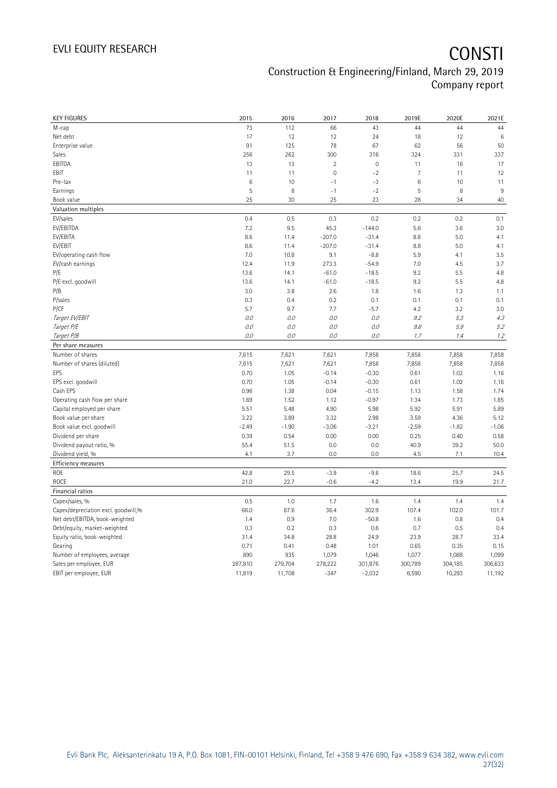| <b>KEY FIGURES</b>                  | 2015    | 2016    | 2017           | 2018                | 2019E          | 2020E   | 2021E   |
|-------------------------------------|---------|---------|----------------|---------------------|----------------|---------|---------|
| M-cap                               | 73      | 112     | 66             | 43                  | 44             | 44      | 44      |
| Net debt                            | 17      | 12      | 12             | 24                  | 18             | 12      | $\,6$   |
| Enterprise value                    | 91      | 125     | 78             | 67                  | 62             | 56      | 50      |
| Sales                               | 256     | 262     | 300            | 316                 | 324            | 331     | 337     |
| EBITDA                              | 13      | 13      | $\overline{2}$ | $\mathsf{O}\xspace$ | 11             | 16      | 17      |
| EBIT                                | 11      | 11      | 0              | $-2$                | $\overline{7}$ | 11      | 12      |
| Pre-tax                             | 6       | 10      | $-1$           | -3                  | 6              | 10      | 11      |
| Earnings                            | 5       | 8       | $-1$           | $-2$                | 5              | 8       | $9\,$   |
| Book value                          | 25      | 30      | 25             | 23                  | 28             | 34      | 40      |
| Valuation multiples                 |         |         |                |                     |                |         |         |
| EV/sales                            | 0.4     | 0.5     | 0.3            | 0.2                 | 0.2            | 0.2     | 0.1     |
| EV/EBITDA                           | 7.2     | 9.5     | 45.3           | $-144.0$            | 5.6            | 3.6     | 3.0     |
| EV/EBITA                            | 8.6     | 11.4    | $-207.0$       | $-31.4$             | 8.8            | 5.0     | 4.1     |
| EV/EBIT                             | 8.6     | 11.4    | $-207.0$       | $-31.4$             | 8.8            | 5.0     | 4.1     |
| EV/operating cash flow              | 7.0     | 10.8    | 9.1            | $-8.8$              | 5.9            | 4.1     | 3.5     |
| EV/cash earnings                    | 12.4    | 11.9    | 273.3          | $-54.9$             | 7.0            | 4.5     | 3.7     |
| P/E                                 | 13.6    | 14.1    | $-61.0$        | $-18.5$             | 9.2            | 5.5     | 4.8     |
| P/E excl. goodwill                  | 13.6    | 14.1    | $-61.0$        | $-18.5$             | 9.2            | 5.5     | 4.8     |
| P/B                                 | 3.0     | 3.8     | 2.6            | 1.8                 | 1.6            | 1.3     | 1.1     |
| P/sales                             | 0.3     | 0.4     | 0.2            | 0.1                 | 0.1            | 0.1     | 0.1     |
| P/CF                                | 5.7     | 9.7     | 7.7            | $-5.7$              | 4.2            | 3.2     | 3.0     |
| Target EV/EBIT                      | 0.0     | 0.0     | 0.0            | 0.0                 | 9.2            | 5.3     | 4.3     |
| Target P/E                          | $O.O$   | 0.0     | $O.O$          | O.O                 | $9.8\,$        | 5.9     | 5.2     |
| Target P/B                          | 0.0     | O.O     | $O.O$          | $O.O$               | 1.7            | 1.4     | 1.2     |
| Per share measures                  |         |         |                |                     |                |         |         |
| Number of shares                    | 7,615   | 7,621   | 7,621          | 7,858               | 7,858          | 7,858   | 7,858   |
| Number of shares (diluted)          | 7,615   | 7,621   | 7,621          | 7,858               | 7,858          | 7,858   | 7,858   |
| EPS                                 | 0.70    | 1.05    | $-0.14$        | $-0.30$             | 0.61           | 1.02    | 1.16    |
| EPS excl. goodwill                  | 0.70    | 1.05    | $-0.14$        | $-0.30$             | 0.61           | 1.02    | 1.16    |
| Cash EPS                            | 0.96    | 1.38    | 0.04           | $-0.15$             | 1.13           | 1.58    | 1.74    |
| Operating cash flow per share       | 1.69    | 1.52    | 1.12           | $-0.97$             | 1.34           | 1.73    | 1.85    |
| Capital employed per share          | 5.51    | 5.48    | 4.90           | 5.98                | 5.92           | 5.91    | 5.89    |
| Book value per share                | 3.22    | 3.89    | 3.32           | 2.98                | 3.59           | 4.36    | 5.12    |
| Book value excl. goodwill           | $-2.49$ | $-1.90$ | $-3.06$        | $-3.21$             | $-2.59$        | $-1.82$ | $-1.06$ |
| Dividend per share                  | 0.39    | 0.54    | 0.00           | 0.00                | 0.25           | 0.40    | 0.58    |
| Dividend payout ratio, %            | 55.4    | 51.5    | 0.0            | 0.0                 | 40.9           | 39.2    | 50.0    |
| Dividend yield, %                   | 4.1     | 3.7     | 0.0            | 0.0                 | 4.5            | 7.1     | 10.4    |
| Efficiency measures                 |         |         |                |                     |                |         |         |
| ROE                                 | 42.8    | 29.5    | $-3.9$         | $-9.6$              | 18.6           | 25.7    | 24.5    |
| ROCE                                | 21.0    | 22.7    | $-0.6$         | $-4.2$              | 13.4           | 19.9    | 21.7    |
| Financial ratios                    |         |         |                |                     |                |         |         |
| Capex/sales, %                      | 0.5     | 1.0     | 1.7            | 1.6                 | 1.4            | 1.4     | 1.4     |
| Capex/depreciation excl. goodwill,% | 66.0    | 87.6    | 36.4           | 302.9               | 107.4          | 102.0   | 101.7   |
| Net debt/EBITDA, book-weighted      | 1.4     | 0.9     | 7.0            | $-50.8$             | 1.6            | 0.8     | 0.4     |
| Debt/equity, market-weighted        | 0.3     | 0.2     | 0.3            | 0.6                 | 0.7            | 0.5     | 0.4     |
| Equity ratio, book-weighted         | 31.4    | 34.8    | 28.8           | 24.9                | 23.9           | 28.7    | 33.4    |
| Gearing                             | 0.71    | 0.41    | 0.48           | 1.01                | 0.65           | 0.35    | 0.15    |
| Number of employees, average        | 890     | 935     | 1,079          | 1,046               | 1,077          | 1,088   | 1,099   |
| Sales per employee, EUR             | 287,810 | 279,704 | 278,222        | 301,876             | 300,789        | 304,185 | 306,633 |
| EBIT per employee, EUR              | 11,819  | 11,708  | $-347$         | $-2,032$            | 6,590          | 10,293  | 11,192  |
|                                     |         |         |                |                     |                |         |         |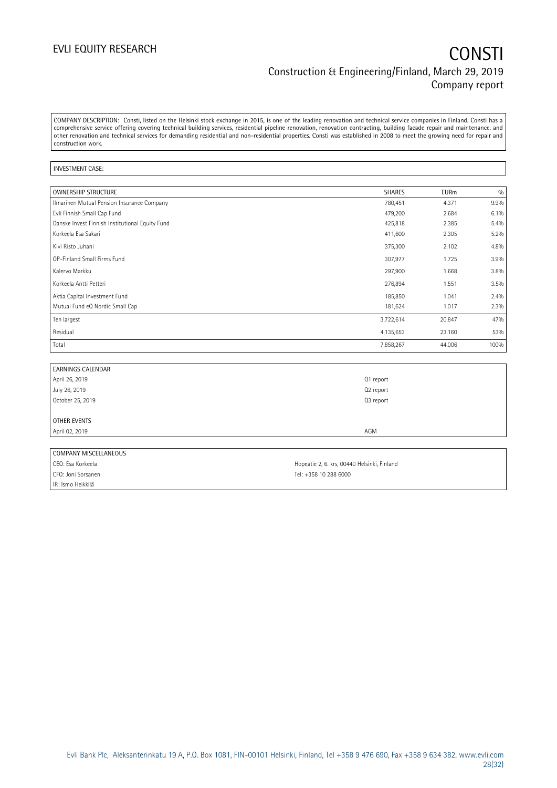COMPANY DESCRIPTION: Consti, listed on the Helsinki stock exchange in 2015, is one of the leading renovation and technical service companies in Finland. Consti has a comprehensive service offering covering technical building services, residential pipeline renovation, renovation contracting, building facade repair and maintenance, and other renovation and technical services for demanding residential and non-residential properties. Consti was established in 2008 to meet the growing need for repair and construction work.

#### INVESTMENT CASE:

| OWNERSHIP STRUCTURE                             | <b>SHARES</b> | <b>EURm</b> | 0/0  |
|-------------------------------------------------|---------------|-------------|------|
| Ilmarinen Mutual Pension Insurance Company      | 780,451       | 4.371       | 9.9% |
| Evli Finnish Small Cap Fund                     | 479,200       | 2.684       | 6.1% |
| Danske Invest Finnish Institutional Equity Fund | 425,818       | 2.385       | 5.4% |
| Korkeela Esa Sakari                             | 411,600       | 2.305       | 5.2% |
| Kivi Risto Juhani                               | 375,300       | 2.102       | 4.8% |
| OP-Finland Small Firms Fund                     | 307,977       | 1.725       | 3.9% |
| Kalervo Markku                                  | 297,900       | 1.668       | 3.8% |
| Korkeela Antti Petteri                          | 276,894       | 1.551       | 3.5% |
| Aktia Capital Investment Fund                   | 185,850       | 1.041       | 2.4% |
| Mutual Fund eQ Nordic Small Cap                 | 181,624       | 1.017       | 2.3% |
| Ten largest                                     | 3,722,614     | 20.847      | 47%  |
| Residual                                        | 4,135,653     | 23.160      | 53%  |
| Total                                           | 7,858,267     | 44.006      | 100% |

| <b>EARNINGS CALENDAR</b> |           |  |
|--------------------------|-----------|--|
| April 26, 2019           | Q1 report |  |
| July 26, 2019            | Q2 report |  |
| October 25, 2019         | Q3 report |  |
|                          |           |  |
| OTHER EVENTS             |           |  |
| April 02, 2019           | AGM       |  |
|                          |           |  |

| COMPANY MISCELLANEOUS |                                             |
|-----------------------|---------------------------------------------|
| CEO: Esa Korkeela     | Hopeatie 2, 6. krs, 00440 Helsinki, Finland |
| CFO: Joni Sorsanen    | Tel: +358 10 288 6000                       |
| IR: Ismo Heikkilä     |                                             |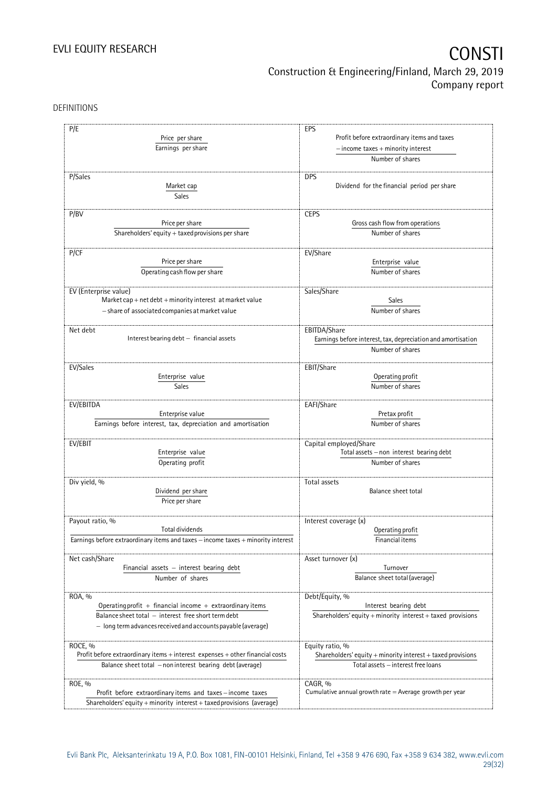DEFINITIONS

| P/E                                                                              |                                                                                                                  |  |  |  |
|----------------------------------------------------------------------------------|------------------------------------------------------------------------------------------------------------------|--|--|--|
| Price per share<br>Earnings per share                                            | EPS<br>Profit before extraordinary items and taxes<br>$-$ income taxes $+$ minority interest<br>Number of shares |  |  |  |
|                                                                                  |                                                                                                                  |  |  |  |
| P/Sales<br>Market cap<br>Sales                                                   | <b>DPS</b><br>Dividend for the financial period per share                                                        |  |  |  |
| P/BV                                                                             | <b>CEPS</b>                                                                                                      |  |  |  |
| Price per share                                                                  | Gross cash flow from operations                                                                                  |  |  |  |
| Shareholders' equity + taxed provisions per share                                | Number of shares                                                                                                 |  |  |  |
| P/CF                                                                             | EV/Share                                                                                                         |  |  |  |
| Price per share                                                                  | Enterprise value                                                                                                 |  |  |  |
| Operating cash flow per share                                                    | Number of shares                                                                                                 |  |  |  |
| EV (Enterprise value)                                                            | Sales/Share                                                                                                      |  |  |  |
| Market cap + net debt + minority interest at market value                        | Sales                                                                                                            |  |  |  |
| - share of associated companies at market value                                  | Number of shares                                                                                                 |  |  |  |
| Net debt                                                                         | EBITDA/Share                                                                                                     |  |  |  |
| Interest bearing debt - financial assets                                         | Earnings before interest, tax, depreciation and amortisation                                                     |  |  |  |
|                                                                                  | Number of shares                                                                                                 |  |  |  |
| EV/Sales                                                                         | EBIT/Share                                                                                                       |  |  |  |
| Enterprise value                                                                 | Operating profit                                                                                                 |  |  |  |
| Sales                                                                            | Number of shares                                                                                                 |  |  |  |
| EV/EBITDA                                                                        | EAFI/Share                                                                                                       |  |  |  |
| Enterprise value                                                                 | Pretax profit                                                                                                    |  |  |  |
| Earnings before interest, tax, depreciation and amortisation                     | Number of shares                                                                                                 |  |  |  |
| EV/EBIT                                                                          | Capital employed/Share                                                                                           |  |  |  |
| Enterprise value                                                                 | Total assets - non interest bearing debt                                                                         |  |  |  |
| Operating profit                                                                 | Number of shares                                                                                                 |  |  |  |
| Div yield, %                                                                     | Total assets                                                                                                     |  |  |  |
| Dividend per share                                                               | Balance sheet total                                                                                              |  |  |  |
| Price per share                                                                  |                                                                                                                  |  |  |  |
| Payout ratio, %                                                                  | Interest coverage (x)                                                                                            |  |  |  |
| <b>Total dividends</b>                                                           | Operating profit                                                                                                 |  |  |  |
| Earnings before extraordinary items and taxes - income taxes + minority interest | Financial items                                                                                                  |  |  |  |
| Net cash/Share                                                                   | Asset turnover (x)                                                                                               |  |  |  |
| Financial assets - interest bearing debt                                         | Turnover                                                                                                         |  |  |  |
| Number of shares                                                                 | Balance sheet total (average)                                                                                    |  |  |  |
| ROA, %                                                                           | Debt/Equity, %                                                                                                   |  |  |  |
| Operating profit $+$ financial income $+$ extraordinary items                    | Interest bearing debt                                                                                            |  |  |  |
| Balance sheet total - interest free short term debt                              | Shareholders' equity $+$ minority interest $+$ taxed provisions                                                  |  |  |  |
| $-$ long term advances received and accounts payable (average)                   |                                                                                                                  |  |  |  |
| ROCE, %                                                                          | Equity ratio, %                                                                                                  |  |  |  |
| Profit before extraordinary items + interest expenses + other financial costs    | Shareholders' equity + minority interest + taxed provisions                                                      |  |  |  |
| Balance sheet total - non interest bearing debt (average)                        | Total assets - interest free loans                                                                               |  |  |  |
| ROE, %                                                                           | CAGR, %                                                                                                          |  |  |  |
| Profit before extraordinary items and taxes-income taxes                         | Cumulative annual growth rate $=$ Average growth per year                                                        |  |  |  |
| Shareholders' equity + minority interest + taxed provisions (average)            |                                                                                                                  |  |  |  |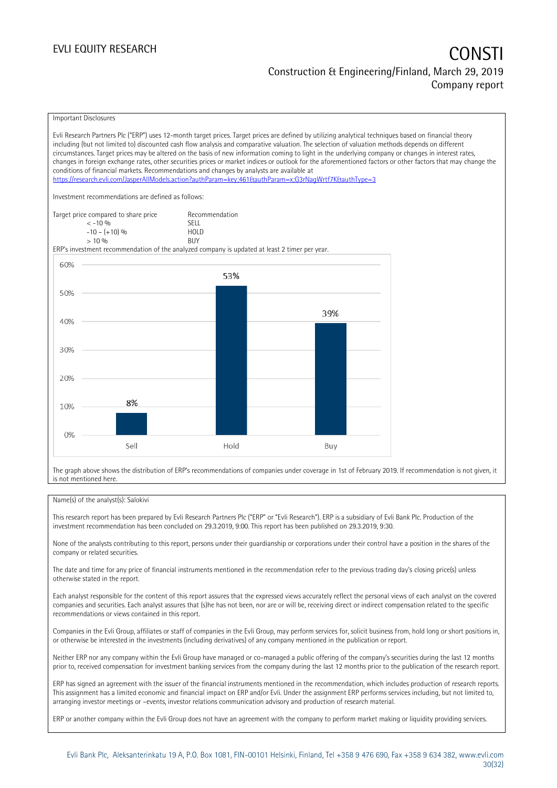#### EVLI EQUITY RESEARCH **CONSTITUTE OF A CONSTITUTE OF A CONSTITUTE OF A CONSTITUTE OF A CONSTITUTE OF A CONSTITUTE** Construction & Engineering/Finland, March 29, 2019 Company report

Important Disclosures

Evli Research Partners Plc ("ERP") uses 12-month target prices. Target prices are defined by utilizing analytical techniques based on financial theory including (but not limited to) discounted cash flow analysis and comparative valuation. The selection of valuation methods depends on different circumstances. Target prices may be altered on the basis of new information coming to light in the underlying company or changes in interest rates, changes in foreign exchange rates, other securities prices or market indices or outlook for the aforementioned factors or other factors that may change the conditions of financial markets. Recommendations and changes by analysts are available at <https://research.evli.com/JasperAllModels.action?authParam=key;461&authParam=x;G3rNagWrtf7K&authType=3> Investment recommendations are defined as follows: Target price compared to share price Recommendation<br>  $\leq -10\%$  $\langle 5, 10, 10 \rangle$  SELL<br>  $\langle 10, 10, 10 \rangle$  SELL<br>  $\langle 10, 10, 10 \rangle$  $-10 - (+10) \%$  HOL<br>  $> 10 \%$  RIJY  $> 10\%$ ERP's investment recommendation of the analyzed company is updated at least 2 timer per year. 60% 53% 50% 39% 40% 30% 20% 8% 10%  $0%$ Sell Hold Buy

The graph above shows the distribution of ERP's recommendations of companies under coverage in 1st of February 2019. If recommendation is not given, it is not mentioned here.

#### Name(s) of the analyst(s): Salokivi

This research report has been prepared by Evli Research Partners Plc ("ERP" or "Evli Research"). ERP is a subsidiary of Evli Bank Plc. Production of the investment recommendation has been concluded on 29.3.2019, 9:00. This report has been published on 29.3.2019, 9:30.

None of the analysts contributing to this report, persons under their guardianship or corporations under their control have a position in the shares of the company or related securities.

The date and time for any price of financial instruments mentioned in the recommendation refer to the previous trading day's closing price(s) unless otherwise stated in the report.

Each analyst responsible for the content of this report assures that the expressed views accurately reflect the personal views of each analyst on the covered companies and securities. Each analyst assures that (s)he has not been, nor are or will be, receiving direct or indirect compensation related to the specific recommendations or views contained in this report.

Companies in the Evli Group, affiliates or staff of companies in the Evli Group, may perform services for, solicit business from, hold long or short positions in, or otherwise be interested in the investments (including derivatives) of any company mentioned in the publication or report.

Neither ERP nor any company within the Evli Group have managed or co-managed a public offering of the company's securities during the last 12 months prior to, received compensation for investment banking services from the company during the last 12 months prior to the publication of the research report.

ERP has signed an agreement with the issuer of the financial instruments mentioned in the recommendation, which includes production of research reports. This assignment has a limited economic and financial impact on ERP and/or Evli. Under the assignment ERP performs services including, but not limited to, arranging investor meetings or –events, investor relations communication advisory and production of research material.

ERP or another company within the Evli Group does not have an agreement with the company to perform market making or liquidity providing services.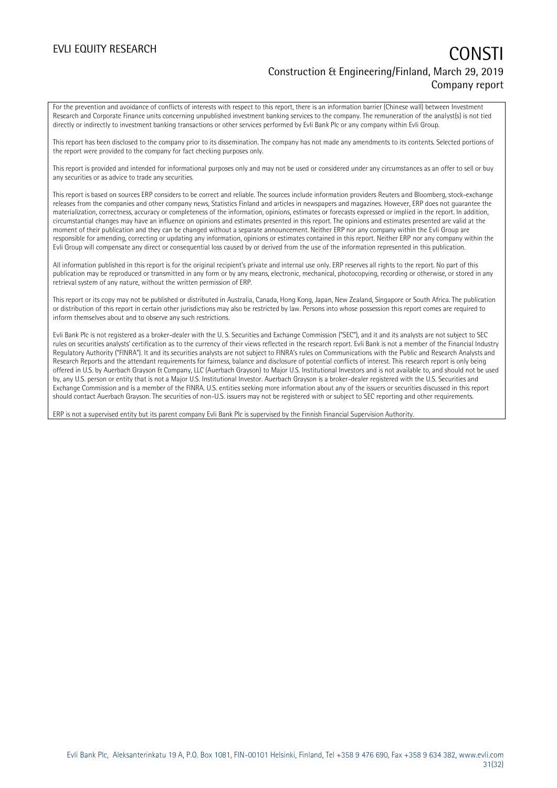#### EVLI EQUITY RESEARCH **CONSTITUTE OF A CONSTITUTE OF A CONSTITUTE OF A CONSTITUTE OF A CONSTITUTE OF A CONSTITUTE** Construction & Engineering/Finland, March 29, 2019 Company report

For the prevention and avoidance of conflicts of interests with respect to this report, there is an information barrier (Chinese wall) between Investment Research and Corporate Finance units concerning unpublished investment banking services to the company. The remuneration of the analyst(s) is not tied directly or indirectly to investment banking transactions or other services performed by Evli Bank Plc or any company within Evli Group.

This report has been disclosed to the company prior to its dissemination. The company has not made any amendments to its contents. Selected portions of the report were provided to the company for fact checking purposes only.

This report is provided and intended for informational purposes only and may not be used or considered under any circumstances as an offer to sell or buy any securities or as advice to trade any securities.

This report is based on sources ERP considers to be correct and reliable. The sources include information providers Reuters and Bloomberg, stock-exchange releases from the companies and other company news, Statistics Finland and articles in newspapers and magazines. However, ERP does not guarantee the materialization, correctness, accuracy or completeness of the information, opinions, estimates or forecasts expressed or implied in the report. In addition, circumstantial changes may have an influence on opinions and estimates presented in this report. The opinions and estimates presented are valid at the moment of their publication and they can be changed without a separate announcement. Neither ERP nor any company within the Evli Group are responsible for amending, correcting or updating any information, opinions or estimates contained in this report. Neither ERP nor any company within the Evli Group will compensate any direct or consequential loss caused by or derived from the use of the information represented in this publication.

All information published in this report is for the original recipient's private and internal use only. ERP reserves all rights to the report. No part of this publication may be reproduced or transmitted in any form or by any means, electronic, mechanical, photocopying, recording or otherwise, or stored in any retrieval system of any nature, without the written permission of ERP.

This report or its copy may not be published or distributed in Australia, Canada, Hong Kong, Japan, New Zealand, Singapore or South Africa. The publication or distribution of this report in certain other jurisdictions may also be restricted by law. Persons into whose possession this report comes are required to inform themselves about and to observe any such restrictions.

Evli Bank Plc is not registered as a broker-dealer with the U. S. Securities and Exchange Commission ("SEC"), and it and its analysts are not subject to SEC rules on securities analysts' certification as to the currency of their views reflected in the research report. Evli Bank is not a member of the Financial Industry Regulatory Authority ("FINRA"). It and its securities analysts are not subject to FINRA's rules on Communications with the Public and Research Analysts and Research Reports and the attendant requirements for fairness, balance and disclosure of potential conflicts of interest. This research report is only being offered in U.S. by Auerbach Grayson & Company, LLC (Auerbach Grayson) to Major U.S. Institutional Investors and is not available to, and should not be used by, any U.S. person or entity that is not a Major U.S. Institutional Investor. Auerbach Grayson is a broker-dealer registered with the U.S. Securities and Exchange Commission and is a member of the FINRA. U.S. entities seeking more information about any of the issuers or securities discussed in this report should contact Auerbach Grayson. The securities of non-U.S. issuers may not be registered with or subject to SEC reporting and other requirements.

ERP is not a supervised entity but its parent company Evli Bank Plc is supervised by the Finnish Financial Supervision Authority.